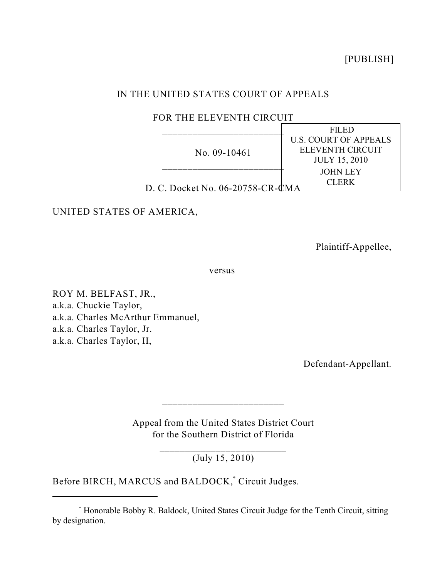[PUBLISH]

# IN THE UNITED STATES COURT OF APPEALS

# FOR THE ELEVENTH CIRCUIT

|                                  | FILED                        |
|----------------------------------|------------------------------|
| No. $09-10461$                   | <b>U.S. COURT OF APPEALS</b> |
|                                  | ELEVENTH CIRCUIT             |
|                                  | <b>JULY 15, 2010</b>         |
|                                  | <b>JOHN LEY</b>              |
| D. C. Docket No. 06-20758-CR-CMA | CLERK                        |
|                                  |                              |

UNITED STATES OF AMERICA,

Plaintiff-Appellee,

versus

ROY M. BELFAST, JR., a.k.a. Chuckie Taylor, a.k.a. Charles McArthur Emmanuel, a.k.a. Charles Taylor, Jr. a.k.a. Charles Taylor, II,

Defendant-Appellant.

Appeal from the United States District Court for the Southern District of Florida

\_\_\_\_\_\_\_\_\_\_\_\_\_\_\_\_\_\_\_\_\_\_\_\_

\_\_\_\_\_\_\_\_\_\_\_\_\_\_\_\_\_\_\_\_\_\_\_\_\_ (July 15, 2010)

Before BIRCH, MARCUS and BALDOCK,<sup>\*</sup> Circuit Judges.

Honorable Bobby R. Baldock, United States Circuit Judge for the Tenth Circuit, sitting \* by designation.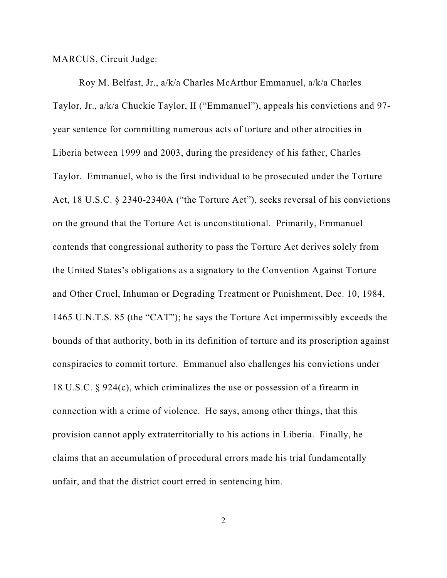MARCUS, Circuit Judge:

Roy M. Belfast, Jr., a/k/a Charles McArthur Emmanuel, a/k/a Charles Taylor, Jr., a/k/a Chuckie Taylor, II ("Emmanuel"), appeals his convictions and 97 year sentence for committing numerous acts of torture and other atrocities in Liberia between 1999 and 2003, during the presidency of his father, Charles Taylor. Emmanuel, who is the first individual to be prosecuted under the Torture Act, 18 U.S.C. § 2340-2340A ("the Torture Act"), seeks reversal of his convictions on the ground that the Torture Act is unconstitutional. Primarily, Emmanuel contends that congressional authority to pass the Torture Act derives solely from the United States's obligations as a signatory to the Convention Against Torture and Other Cruel, Inhuman or Degrading Treatment or Punishment, Dec. 10, 1984, 1465 U.N.T.S. 85 (the "CAT"); he says the Torture Act impermissibly exceeds the bounds of that authority, both in its definition of torture and its proscription against conspiracies to commit torture. Emmanuel also challenges his convictions under 18 U.S.C. § 924(c), which criminalizes the use or possession of a firearm in connection with a crime of violence. He says, among other things, that this provision cannot apply extraterritorially to his actions in Liberia. Finally, he claims that an accumulation of procedural errors made his trial fundamentally unfair, and that the district court erred in sentencing him.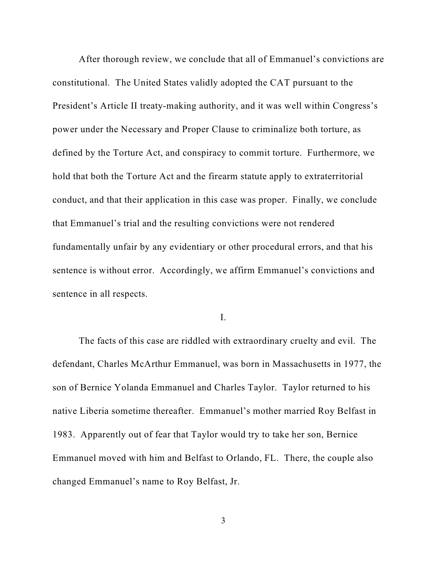After thorough review, we conclude that all of Emmanuel's convictions are constitutional. The United States validly adopted the CAT pursuant to the President's Article II treaty-making authority, and it was well within Congress's power under the Necessary and Proper Clause to criminalize both torture, as defined by the Torture Act, and conspiracy to commit torture. Furthermore, we hold that both the Torture Act and the firearm statute apply to extraterritorial conduct, and that their application in this case was proper. Finally, we conclude that Emmanuel's trial and the resulting convictions were not rendered fundamentally unfair by any evidentiary or other procedural errors, and that his sentence is without error. Accordingly, we affirm Emmanuel's convictions and sentence in all respects.

I.

The facts of this case are riddled with extraordinary cruelty and evil. The defendant, Charles McArthur Emmanuel, was born in Massachusetts in 1977, the son of Bernice Yolanda Emmanuel and Charles Taylor. Taylor returned to his native Liberia sometime thereafter. Emmanuel's mother married Roy Belfast in 1983. Apparently out of fear that Taylor would try to take her son, Bernice Emmanuel moved with him and Belfast to Orlando, FL. There, the couple also changed Emmanuel's name to Roy Belfast, Jr.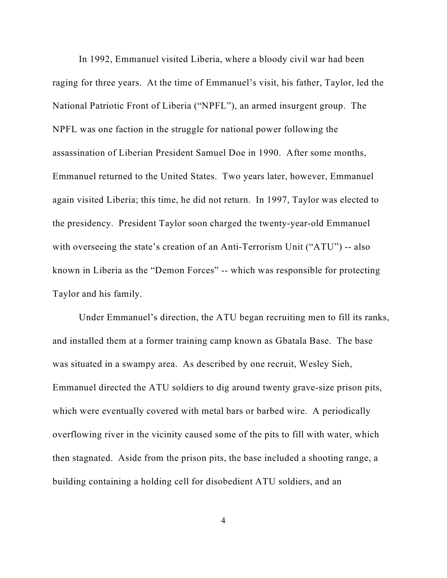In 1992, Emmanuel visited Liberia, where a bloody civil war had been raging for three years. At the time of Emmanuel's visit, his father, Taylor, led the National Patriotic Front of Liberia ("NPFL"), an armed insurgent group. The NPFL was one faction in the struggle for national power following the assassination of Liberian President Samuel Doe in 1990. After some months, Emmanuel returned to the United States. Two years later, however, Emmanuel again visited Liberia; this time, he did not return. In 1997, Taylor was elected to the presidency. President Taylor soon charged the twenty-year-old Emmanuel with overseeing the state's creation of an Anti-Terrorism Unit ("ATU") -- also known in Liberia as the "Demon Forces" -- which was responsible for protecting Taylor and his family.

Under Emmanuel's direction, the ATU began recruiting men to fill its ranks, and installed them at a former training camp known as Gbatala Base. The base was situated in a swampy area. As described by one recruit, Wesley Sieh, Emmanuel directed the ATU soldiers to dig around twenty grave-size prison pits, which were eventually covered with metal bars or barbed wire. A periodically overflowing river in the vicinity caused some of the pits to fill with water, which then stagnated. Aside from the prison pits, the base included a shooting range, a building containing a holding cell for disobedient ATU soldiers, and an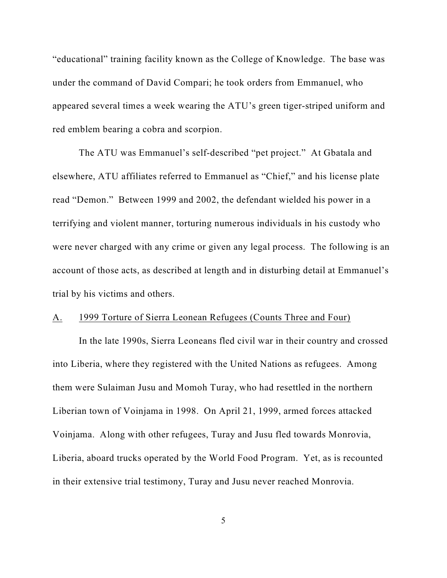"educational" training facility known as the College of Knowledge. The base was under the command of David Compari; he took orders from Emmanuel, who appeared several times a week wearing the ATU's green tiger-striped uniform and red emblem bearing a cobra and scorpion.

The ATU was Emmanuel's self-described "pet project." At Gbatala and elsewhere, ATU affiliates referred to Emmanuel as "Chief," and his license plate read "Demon." Between 1999 and 2002, the defendant wielded his power in a terrifying and violent manner, torturing numerous individuals in his custody who were never charged with any crime or given any legal process. The following is an account of those acts, as described at length and in disturbing detail at Emmanuel's trial by his victims and others.

## A. 1999 Torture of Sierra Leonean Refugees (Counts Three and Four)

In the late 1990s, Sierra Leoneans fled civil war in their country and crossed into Liberia, where they registered with the United Nations as refugees. Among them were Sulaiman Jusu and Momoh Turay, who had resettled in the northern Liberian town of Voinjama in 1998. On April 21, 1999, armed forces attacked Voinjama. Along with other refugees, Turay and Jusu fled towards Monrovia, Liberia, aboard trucks operated by the World Food Program. Yet, as is recounted in their extensive trial testimony, Turay and Jusu never reached Monrovia.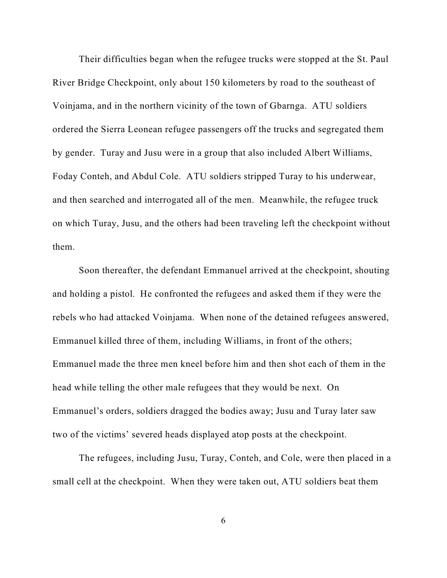Their difficulties began when the refugee trucks were stopped at the St. Paul River Bridge Checkpoint, only about 150 kilometers by road to the southeast of Voinjama, and in the northern vicinity of the town of Gbarnga. ATU soldiers ordered the Sierra Leonean refugee passengers off the trucks and segregated them by gender. Turay and Jusu were in a group that also included Albert Williams, Foday Conteh, and Abdul Cole. ATU soldiers stripped Turay to his underwear, and then searched and interrogated all of the men. Meanwhile, the refugee truck on which Turay, Jusu, and the others had been traveling left the checkpoint without them.

Soon thereafter, the defendant Emmanuel arrived at the checkpoint, shouting and holding a pistol. He confronted the refugees and asked them if they were the rebels who had attacked Voinjama. When none of the detained refugees answered, Emmanuel killed three of them, including Williams, in front of the others; Emmanuel made the three men kneel before him and then shot each of them in the head while telling the other male refugees that they would be next. On Emmanuel's orders, soldiers dragged the bodies away; Jusu and Turay later saw two of the victims' severed heads displayed atop posts at the checkpoint.

The refugees, including Jusu, Turay, Conteh, and Cole, were then placed in a small cell at the checkpoint. When they were taken out, ATU soldiers beat them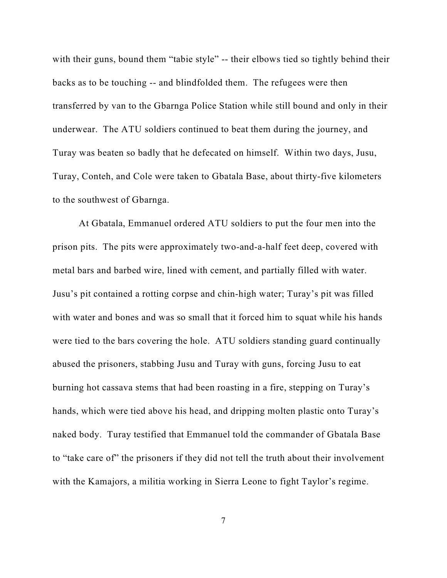with their guns, bound them "tabie style" -- their elbows tied so tightly behind their backs as to be touching -- and blindfolded them. The refugees were then transferred by van to the Gbarnga Police Station while still bound and only in their underwear. The ATU soldiers continued to beat them during the journey, and Turay was beaten so badly that he defecated on himself. Within two days, Jusu, Turay, Conteh, and Cole were taken to Gbatala Base, about thirty-five kilometers to the southwest of Gbarnga.

At Gbatala, Emmanuel ordered ATU soldiers to put the four men into the prison pits. The pits were approximately two-and-a-half feet deep, covered with metal bars and barbed wire, lined with cement, and partially filled with water. Jusu's pit contained a rotting corpse and chin-high water; Turay's pit was filled with water and bones and was so small that it forced him to squat while his hands were tied to the bars covering the hole. ATU soldiers standing guard continually abused the prisoners, stabbing Jusu and Turay with guns, forcing Jusu to eat burning hot cassava stems that had been roasting in a fire, stepping on Turay's hands, which were tied above his head, and dripping molten plastic onto Turay's naked body. Turay testified that Emmanuel told the commander of Gbatala Base to "take care of" the prisoners if they did not tell the truth about their involvement with the Kamajors, a militia working in Sierra Leone to fight Taylor's regime.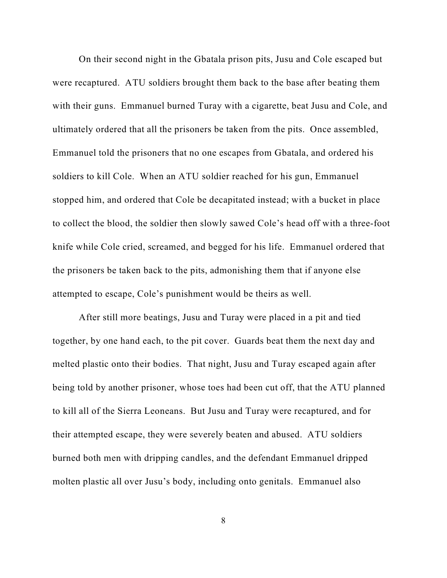On their second night in the Gbatala prison pits, Jusu and Cole escaped but were recaptured. ATU soldiers brought them back to the base after beating them with their guns. Emmanuel burned Turay with a cigarette, beat Jusu and Cole, and ultimately ordered that all the prisoners be taken from the pits. Once assembled, Emmanuel told the prisoners that no one escapes from Gbatala, and ordered his soldiers to kill Cole. When an ATU soldier reached for his gun, Emmanuel stopped him, and ordered that Cole be decapitated instead; with a bucket in place to collect the blood, the soldier then slowly sawed Cole's head off with a three-foot knife while Cole cried, screamed, and begged for his life. Emmanuel ordered that the prisoners be taken back to the pits, admonishing them that if anyone else attempted to escape, Cole's punishment would be theirs as well.

After still more beatings, Jusu and Turay were placed in a pit and tied together, by one hand each, to the pit cover. Guards beat them the next day and melted plastic onto their bodies. That night, Jusu and Turay escaped again after being told by another prisoner, whose toes had been cut off, that the ATU planned to kill all of the Sierra Leoneans. But Jusu and Turay were recaptured, and for their attempted escape, they were severely beaten and abused. ATU soldiers burned both men with dripping candles, and the defendant Emmanuel dripped molten plastic all over Jusu's body, including onto genitals. Emmanuel also

8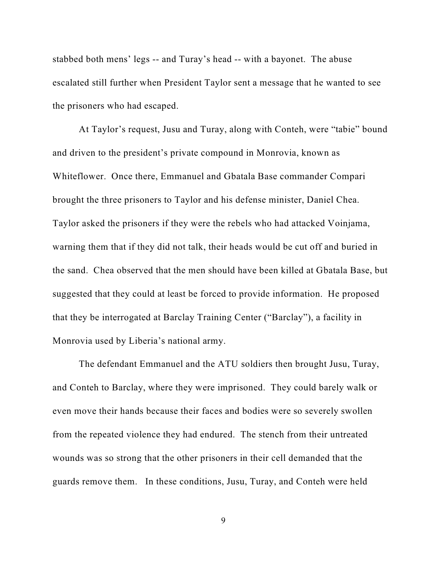stabbed both mens' legs -- and Turay's head -- with a bayonet. The abuse escalated still further when President Taylor sent a message that he wanted to see the prisoners who had escaped.

At Taylor's request, Jusu and Turay, along with Conteh, were "tabie" bound and driven to the president's private compound in Monrovia, known as Whiteflower. Once there, Emmanuel and Gbatala Base commander Compari brought the three prisoners to Taylor and his defense minister, Daniel Chea. Taylor asked the prisoners if they were the rebels who had attacked Voinjama, warning them that if they did not talk, their heads would be cut off and buried in the sand. Chea observed that the men should have been killed at Gbatala Base, but suggested that they could at least be forced to provide information. He proposed that they be interrogated at Barclay Training Center ("Barclay"), a facility in Monrovia used by Liberia's national army.

The defendant Emmanuel and the ATU soldiers then brought Jusu, Turay, and Conteh to Barclay, where they were imprisoned. They could barely walk or even move their hands because their faces and bodies were so severely swollen from the repeated violence they had endured. The stench from their untreated wounds was so strong that the other prisoners in their cell demanded that the guards remove them. In these conditions, Jusu, Turay, and Conteh were held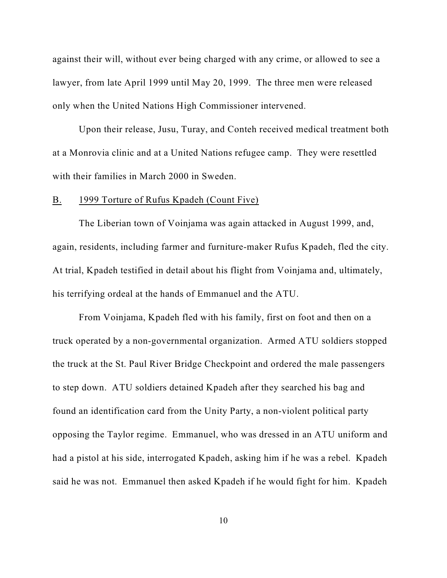against their will, without ever being charged with any crime, or allowed to see a lawyer, from late April 1999 until May 20, 1999. The three men were released only when the United Nations High Commissioner intervened.

Upon their release, Jusu, Turay, and Conteh received medical treatment both at a Monrovia clinic and at a United Nations refugee camp. They were resettled with their families in March 2000 in Sweden.

#### B. 1999 Torture of Rufus Kpadeh (Count Five)

The Liberian town of Voinjama was again attacked in August 1999, and, again, residents, including farmer and furniture-maker Rufus Kpadeh, fled the city. At trial, Kpadeh testified in detail about his flight from Voinjama and, ultimately, his terrifying ordeal at the hands of Emmanuel and the ATU.

From Voinjama, Kpadeh fled with his family, first on foot and then on a truck operated by a non-governmental organization. Armed ATU soldiers stopped the truck at the St. Paul River Bridge Checkpoint and ordered the male passengers to step down. ATU soldiers detained Kpadeh after they searched his bag and found an identification card from the Unity Party, a non-violent political party opposing the Taylor regime. Emmanuel, who was dressed in an ATU uniform and had a pistol at his side, interrogated Kpadeh, asking him if he was a rebel. Kpadeh said he was not. Emmanuel then asked Kpadeh if he would fight for him. Kpadeh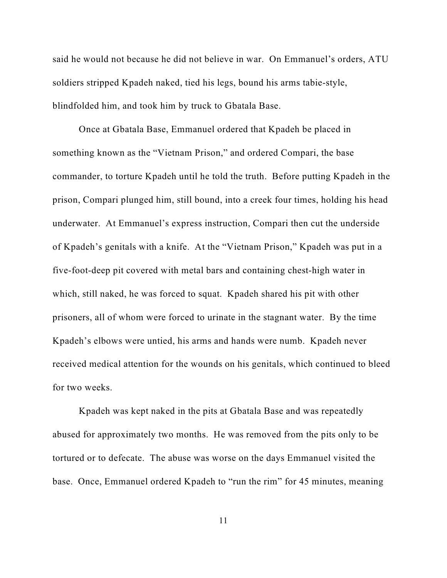said he would not because he did not believe in war. On Emmanuel's orders, ATU soldiers stripped Kpadeh naked, tied his legs, bound his arms tabie-style, blindfolded him, and took him by truck to Gbatala Base.

Once at Gbatala Base, Emmanuel ordered that Kpadeh be placed in something known as the "Vietnam Prison," and ordered Compari, the base commander, to torture Kpadeh until he told the truth. Before putting Kpadeh in the prison, Compari plunged him, still bound, into a creek four times, holding his head underwater. At Emmanuel's express instruction, Compari then cut the underside of Kpadeh's genitals with a knife. At the "Vietnam Prison," Kpadeh was put in a five-foot-deep pit covered with metal bars and containing chest-high water in which, still naked, he was forced to squat. Kpadeh shared his pit with other prisoners, all of whom were forced to urinate in the stagnant water. By the time Kpadeh's elbows were untied, his arms and hands were numb. Kpadeh never received medical attention for the wounds on his genitals, which continued to bleed for two weeks.

Kpadeh was kept naked in the pits at Gbatala Base and was repeatedly abused for approximately two months. He was removed from the pits only to be tortured or to defecate. The abuse was worse on the days Emmanuel visited the base. Once, Emmanuel ordered Kpadeh to "run the rim" for 45 minutes, meaning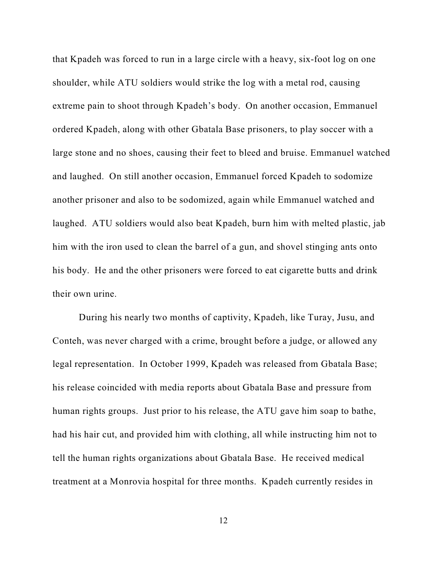that Kpadeh was forced to run in a large circle with a heavy, six-foot log on one shoulder, while ATU soldiers would strike the log with a metal rod, causing extreme pain to shoot through Kpadeh's body. On another occasion, Emmanuel ordered Kpadeh, along with other Gbatala Base prisoners, to play soccer with a large stone and no shoes, causing their feet to bleed and bruise. Emmanuel watched and laughed. On still another occasion, Emmanuel forced Kpadeh to sodomize another prisoner and also to be sodomized, again while Emmanuel watched and laughed. ATU soldiers would also beat Kpadeh, burn him with melted plastic, jab him with the iron used to clean the barrel of a gun, and shovel stinging ants onto his body. He and the other prisoners were forced to eat cigarette butts and drink their own urine.

During his nearly two months of captivity, Kpadeh, like Turay, Jusu, and Conteh, was never charged with a crime, brought before a judge, or allowed any legal representation. In October 1999, Kpadeh was released from Gbatala Base; his release coincided with media reports about Gbatala Base and pressure from human rights groups. Just prior to his release, the ATU gave him soap to bathe, had his hair cut, and provided him with clothing, all while instructing him not to tell the human rights organizations about Gbatala Base. He received medical treatment at a Monrovia hospital for three months. Kpadeh currently resides in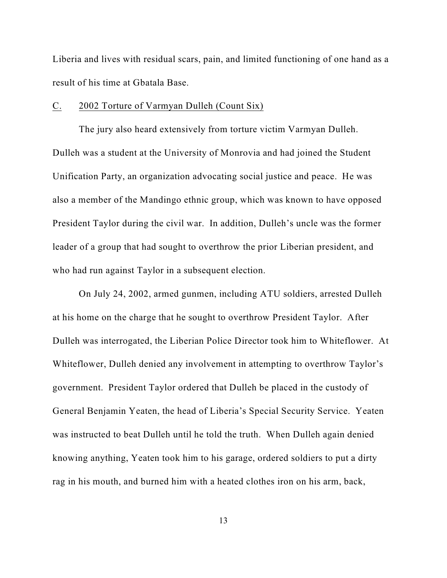Liberia and lives with residual scars, pain, and limited functioning of one hand as a result of his time at Gbatala Base.

### C. 2002 Torture of Varmyan Dulleh (Count Six)

The jury also heard extensively from torture victim Varmyan Dulleh. Dulleh was a student at the University of Monrovia and had joined the Student Unification Party, an organization advocating social justice and peace. He was also a member of the Mandingo ethnic group, which was known to have opposed President Taylor during the civil war. In addition, Dulleh's uncle was the former leader of a group that had sought to overthrow the prior Liberian president, and who had run against Taylor in a subsequent election.

On July 24, 2002, armed gunmen, including ATU soldiers, arrested Dulleh at his home on the charge that he sought to overthrow President Taylor. After Dulleh was interrogated, the Liberian Police Director took him to Whiteflower. At Whiteflower, Dulleh denied any involvement in attempting to overthrow Taylor's government. President Taylor ordered that Dulleh be placed in the custody of General Benjamin Yeaten, the head of Liberia's Special Security Service. Yeaten was instructed to beat Dulleh until he told the truth. When Dulleh again denied knowing anything, Yeaten took him to his garage, ordered soldiers to put a dirty rag in his mouth, and burned him with a heated clothes iron on his arm, back,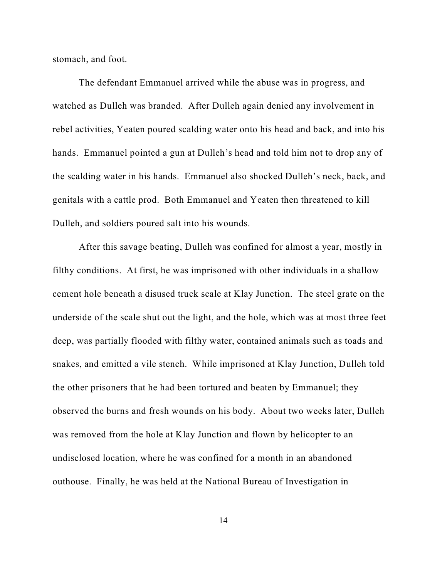stomach, and foot.

The defendant Emmanuel arrived while the abuse was in progress, and watched as Dulleh was branded. After Dulleh again denied any involvement in rebel activities, Yeaten poured scalding water onto his head and back, and into his hands. Emmanuel pointed a gun at Dulleh's head and told him not to drop any of the scalding water in his hands. Emmanuel also shocked Dulleh's neck, back, and genitals with a cattle prod. Both Emmanuel and Yeaten then threatened to kill Dulleh, and soldiers poured salt into his wounds.

After this savage beating, Dulleh was confined for almost a year, mostly in filthy conditions. At first, he was imprisoned with other individuals in a shallow cement hole beneath a disused truck scale at Klay Junction. The steel grate on the underside of the scale shut out the light, and the hole, which was at most three feet deep, was partially flooded with filthy water, contained animals such as toads and snakes, and emitted a vile stench. While imprisoned at Klay Junction, Dulleh told the other prisoners that he had been tortured and beaten by Emmanuel; they observed the burns and fresh wounds on his body. About two weeks later, Dulleh was removed from the hole at Klay Junction and flown by helicopter to an undisclosed location, where he was confined for a month in an abandoned outhouse. Finally, he was held at the National Bureau of Investigation in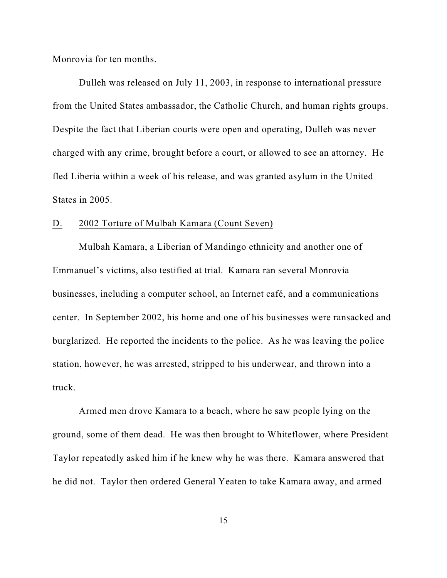Monrovia for ten months.

Dulleh was released on July 11, 2003, in response to international pressure from the United States ambassador, the Catholic Church, and human rights groups. Despite the fact that Liberian courts were open and operating, Dulleh was never charged with any crime, brought before a court, or allowed to see an attorney. He fled Liberia within a week of his release, and was granted asylum in the United States in 2005.

### D. 2002 Torture of Mulbah Kamara (Count Seven)

Mulbah Kamara, a Liberian of Mandingo ethnicity and another one of Emmanuel's victims, also testified at trial. Kamara ran several Monrovia businesses, including a computer school, an Internet café, and a communications center. In September 2002, his home and one of his businesses were ransacked and burglarized. He reported the incidents to the police. As he was leaving the police station, however, he was arrested, stripped to his underwear, and thrown into a truck.

Armed men drove Kamara to a beach, where he saw people lying on the ground, some of them dead. He was then brought to Whiteflower, where President Taylor repeatedly asked him if he knew why he was there. Kamara answered that he did not. Taylor then ordered General Yeaten to take Kamara away, and armed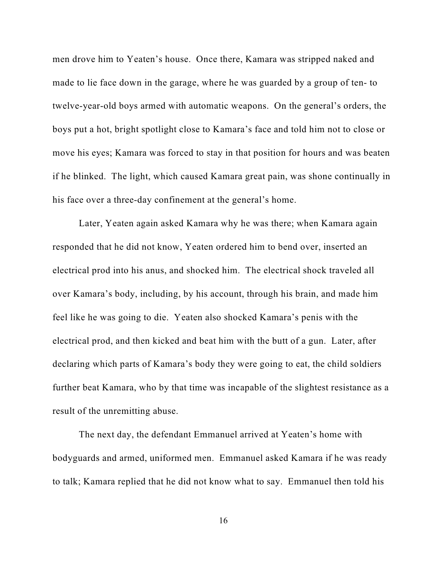men drove him to Yeaten's house. Once there, Kamara was stripped naked and made to lie face down in the garage, where he was guarded by a group of ten- to twelve-year-old boys armed with automatic weapons. On the general's orders, the boys put a hot, bright spotlight close to Kamara's face and told him not to close or move his eyes; Kamara was forced to stay in that position for hours and was beaten if he blinked. The light, which caused Kamara great pain, was shone continually in his face over a three-day confinement at the general's home.

Later, Yeaten again asked Kamara why he was there; when Kamara again responded that he did not know, Yeaten ordered him to bend over, inserted an electrical prod into his anus, and shocked him. The electrical shock traveled all over Kamara's body, including, by his account, through his brain, and made him feel like he was going to die. Yeaten also shocked Kamara's penis with the electrical prod, and then kicked and beat him with the butt of a gun. Later, after declaring which parts of Kamara's body they were going to eat, the child soldiers further beat Kamara, who by that time was incapable of the slightest resistance as a result of the unremitting abuse.

The next day, the defendant Emmanuel arrived at Yeaten's home with bodyguards and armed, uniformed men. Emmanuel asked Kamara if he was ready to talk; Kamara replied that he did not know what to say. Emmanuel then told his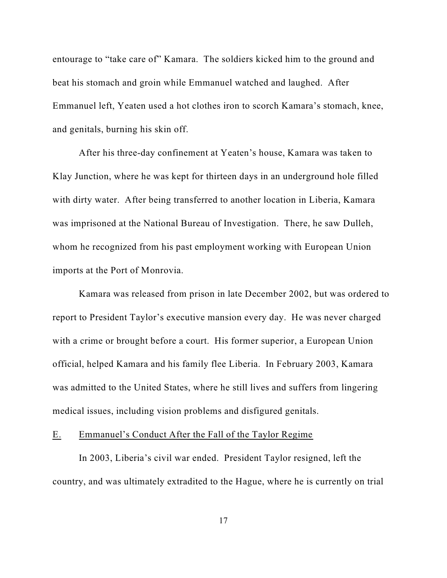entourage to "take care of" Kamara. The soldiers kicked him to the ground and beat his stomach and groin while Emmanuel watched and laughed. After Emmanuel left, Yeaten used a hot clothes iron to scorch Kamara's stomach, knee, and genitals, burning his skin off.

After his three-day confinement at Yeaten's house, Kamara was taken to Klay Junction, where he was kept for thirteen days in an underground hole filled with dirty water. After being transferred to another location in Liberia, Kamara was imprisoned at the National Bureau of Investigation. There, he saw Dulleh, whom he recognized from his past employment working with European Union imports at the Port of Monrovia.

Kamara was released from prison in late December 2002, but was ordered to report to President Taylor's executive mansion every day. He was never charged with a crime or brought before a court. His former superior, a European Union official, helped Kamara and his family flee Liberia. In February 2003, Kamara was admitted to the United States, where he still lives and suffers from lingering medical issues, including vision problems and disfigured genitals.

## E. Emmanuel's Conduct After the Fall of the Taylor Regime

In 2003, Liberia's civil war ended. President Taylor resigned, left the country, and was ultimately extradited to the Hague, where he is currently on trial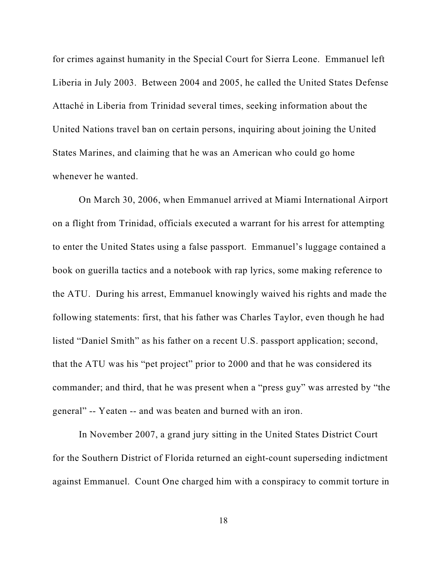for crimes against humanity in the Special Court for Sierra Leone. Emmanuel left Liberia in July 2003. Between 2004 and 2005, he called the United States Defense Attaché in Liberia from Trinidad several times, seeking information about the United Nations travel ban on certain persons, inquiring about joining the United States Marines, and claiming that he was an American who could go home whenever he wanted.

On March 30, 2006, when Emmanuel arrived at Miami International Airport on a flight from Trinidad, officials executed a warrant for his arrest for attempting to enter the United States using a false passport. Emmanuel's luggage contained a book on guerilla tactics and a notebook with rap lyrics, some making reference to the ATU. During his arrest, Emmanuel knowingly waived his rights and made the following statements: first, that his father was Charles Taylor, even though he had listed "Daniel Smith" as his father on a recent U.S. passport application; second, that the ATU was his "pet project" prior to 2000 and that he was considered its commander; and third, that he was present when a "press guy" was arrested by "the general" -- Yeaten -- and was beaten and burned with an iron.

In November 2007, a grand jury sitting in the United States District Court for the Southern District of Florida returned an eight-count superseding indictment against Emmanuel. Count One charged him with a conspiracy to commit torture in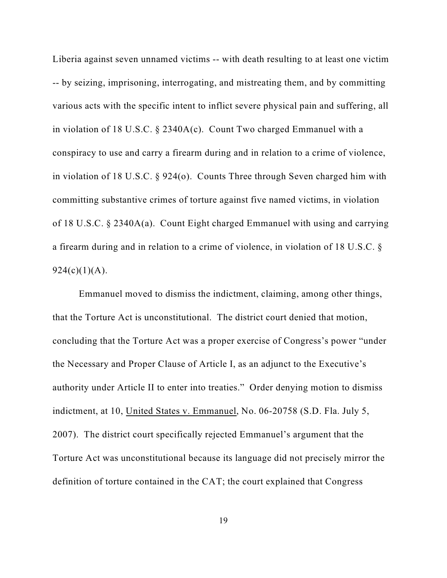Liberia against seven unnamed victims -- with death resulting to at least one victim -- by seizing, imprisoning, interrogating, and mistreating them, and by committing various acts with the specific intent to inflict severe physical pain and suffering, all in violation of 18 U.S.C. § 2340A(c). Count Two charged Emmanuel with a conspiracy to use and carry a firearm during and in relation to a crime of violence, in violation of 18 U.S.C. § 924(o). Counts Three through Seven charged him with committing substantive crimes of torture against five named victims, in violation of 18 U.S.C. § 2340A(a). Count Eight charged Emmanuel with using and carrying a firearm during and in relation to a crime of violence, in violation of 18 U.S.C. §  $924(c)(1)(A).$ 

Emmanuel moved to dismiss the indictment, claiming, among other things, that the Torture Act is unconstitutional. The district court denied that motion, concluding that the Torture Act was a proper exercise of Congress's power "under the Necessary and Proper Clause of Article I, as an adjunct to the Executive's authority under Article II to enter into treaties." Order denying motion to dismiss indictment, at 10, United States v. Emmanuel, No. 06-20758 (S.D. Fla. July 5, 2007). The district court specifically rejected Emmanuel's argument that the Torture Act was unconstitutional because its language did not precisely mirror the definition of torture contained in the CAT; the court explained that Congress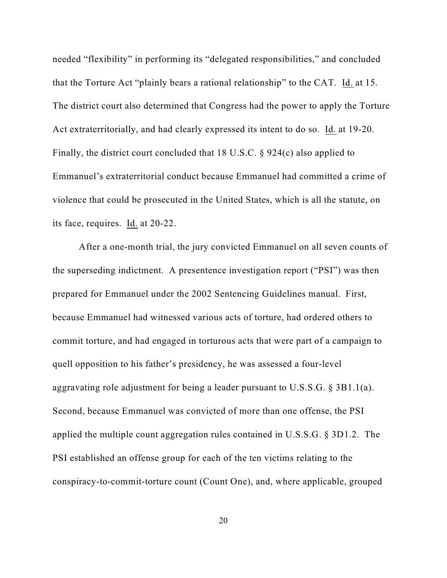needed "flexibility" in performing its "delegated responsibilities," and concluded that the Torture Act "plainly bears a rational relationship" to the CAT. Id. at 15. The district court also determined that Congress had the power to apply the Torture Act extraterritorially, and had clearly expressed its intent to do so. Id. at 19-20. Finally, the district court concluded that 18 U.S.C. § 924(c) also applied to Emmanuel's extraterritorial conduct because Emmanuel had committed a crime of violence that could be prosecuted in the United States, which is all the statute, on its face, requires. Id. at 20-22.

After a one-month trial, the jury convicted Emmanuel on all seven counts of the superseding indictment. A presentence investigation report ("PSI") was then prepared for Emmanuel under the 2002 Sentencing Guidelines manual. First, because Emmanuel had witnessed various acts of torture, had ordered others to commit torture, and had engaged in torturous acts that were part of a campaign to quell opposition to his father's presidency, he was assessed a four-level aggravating role adjustment for being a leader pursuant to U.S.S.G. § 3B1.1(a). Second, because Emmanuel was convicted of more than one offense, the PSI applied the multiple count aggregation rules contained in U.S.S.G. § 3D1.2. The PSI established an offense group for each of the ten victims relating to the conspiracy-to-commit-torture count (Count One), and, where applicable, grouped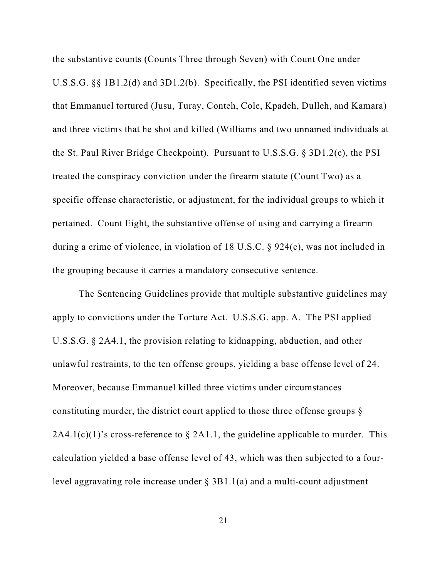the substantive counts (Counts Three through Seven) with Count One under U.S.S.G. §§ 1B1.2(d) and 3D1.2(b). Specifically, the PSI identified seven victims that Emmanuel tortured (Jusu, Turay, Conteh, Cole, Kpadeh, Dulleh, and Kamara) and three victims that he shot and killed (Williams and two unnamed individuals at the St. Paul River Bridge Checkpoint). Pursuant to U.S.S.G. § 3D1.2(c), the PSI treated the conspiracy conviction under the firearm statute (Count Two) as a specific offense characteristic, or adjustment, for the individual groups to which it pertained. Count Eight, the substantive offense of using and carrying a firearm during a crime of violence, in violation of 18 U.S.C. § 924(c), was not included in the grouping because it carries a mandatory consecutive sentence.

The Sentencing Guidelines provide that multiple substantive guidelines may apply to convictions under the Torture Act. U.S.S.G. app. A. The PSI applied U.S.S.G. § 2A4.1, the provision relating to kidnapping, abduction, and other unlawful restraints, to the ten offense groups, yielding a base offense level of 24. Moreover, because Emmanuel killed three victims under circumstances constituting murder, the district court applied to those three offense groups §  $2A4.1(c)(1)$ 's cross-reference to § 2A1.1, the guideline applicable to murder. This calculation yielded a base offense level of 43, which was then subjected to a fourlevel aggravating role increase under § 3B1.1(a) and a multi-count adjustment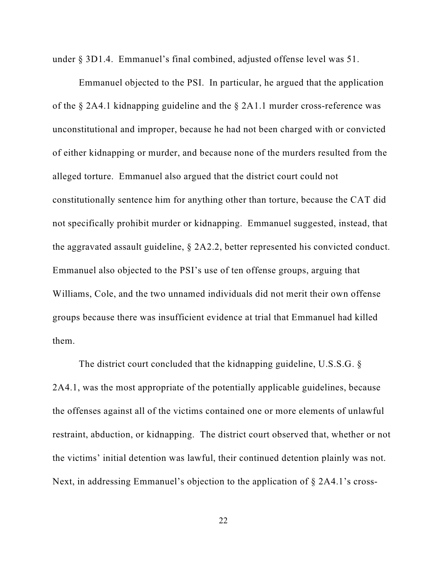under § 3D1.4. Emmanuel's final combined, adjusted offense level was 51.

Emmanuel objected to the PSI. In particular, he argued that the application of the § 2A4.1 kidnapping guideline and the § 2A1.1 murder cross-reference was unconstitutional and improper, because he had not been charged with or convicted of either kidnapping or murder, and because none of the murders resulted from the alleged torture. Emmanuel also argued that the district court could not constitutionally sentence him for anything other than torture, because the CAT did not specifically prohibit murder or kidnapping. Emmanuel suggested, instead, that the aggravated assault guideline, § 2A2.2, better represented his convicted conduct. Emmanuel also objected to the PSI's use of ten offense groups, arguing that Williams, Cole, and the two unnamed individuals did not merit their own offense groups because there was insufficient evidence at trial that Emmanuel had killed them.

The district court concluded that the kidnapping guideline, U.S.S.G. § 2A4.1, was the most appropriate of the potentially applicable guidelines, because the offenses against all of the victims contained one or more elements of unlawful restraint, abduction, or kidnapping. The district court observed that, whether or not the victims' initial detention was lawful, their continued detention plainly was not. Next, in addressing Emmanuel's objection to the application of § 2A4.1's cross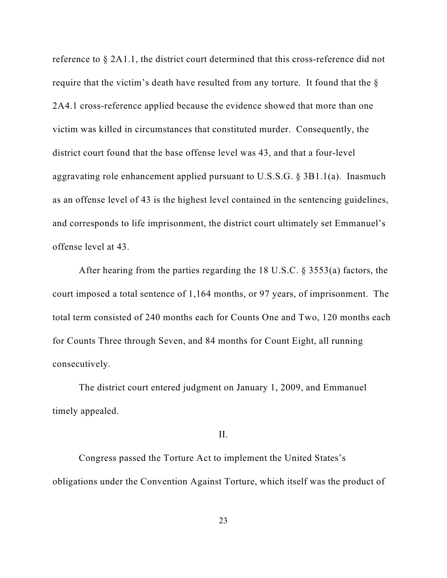reference to § 2A1.1, the district court determined that this cross-reference did not require that the victim's death have resulted from any torture. It found that the § 2A4.1 cross-reference applied because the evidence showed that more than one victim was killed in circumstances that constituted murder. Consequently, the district court found that the base offense level was 43, and that a four-level aggravating role enhancement applied pursuant to U.S.S.G. § 3B1.1(a). Inasmuch as an offense level of 43 is the highest level contained in the sentencing guidelines, and corresponds to life imprisonment, the district court ultimately set Emmanuel's offense level at 43.

After hearing from the parties regarding the 18 U.S.C. § 3553(a) factors, the court imposed a total sentence of 1,164 months, or 97 years, of imprisonment. The total term consisted of 240 months each for Counts One and Two, 120 months each for Counts Three through Seven, and 84 months for Count Eight, all running consecutively.

The district court entered judgment on January 1, 2009, and Emmanuel timely appealed.

# II.

Congress passed the Torture Act to implement the United States's obligations under the Convention Against Torture, which itself was the product of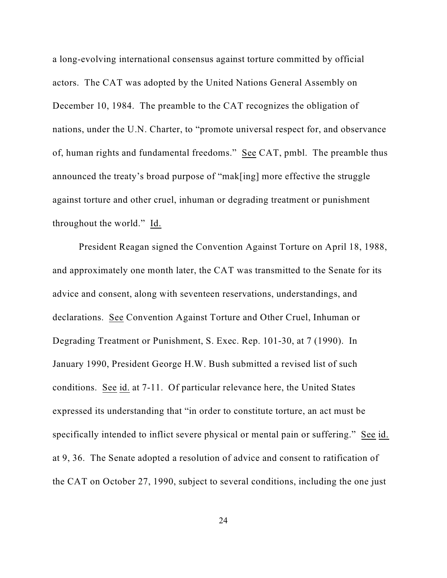a long-evolving international consensus against torture committed by official actors. The CAT was adopted by the United Nations General Assembly on December 10, 1984. The preamble to the CAT recognizes the obligation of nations, under the U.N. Charter, to "promote universal respect for, and observance of, human rights and fundamental freedoms." See CAT, pmbl. The preamble thus announced the treaty's broad purpose of "mak[ing] more effective the struggle against torture and other cruel, inhuman or degrading treatment or punishment throughout the world." Id.

President Reagan signed the Convention Against Torture on April 18, 1988, and approximately one month later, the CAT was transmitted to the Senate for its advice and consent, along with seventeen reservations, understandings, and declarations. See Convention Against Torture and Other Cruel, Inhuman or Degrading Treatment or Punishment, S. Exec. Rep. 101-30, at 7 (1990). In January 1990, President George H.W. Bush submitted a revised list of such conditions. See id. at 7-11. Of particular relevance here, the United States expressed its understanding that "in order to constitute torture, an act must be specifically intended to inflict severe physical or mental pain or suffering." See id. at 9, 36. The Senate adopted a resolution of advice and consent to ratification of the CAT on October 27, 1990, subject to several conditions, including the one just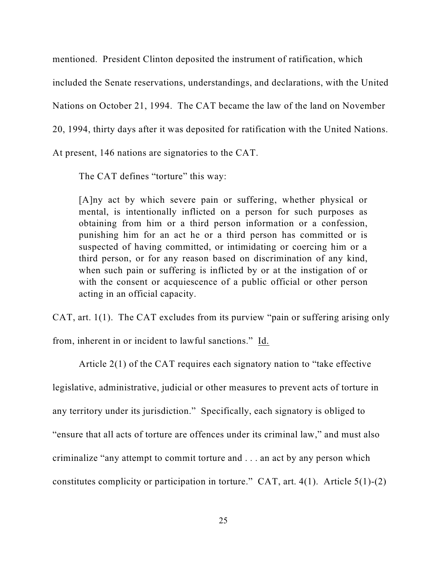mentioned. President Clinton deposited the instrument of ratification, which

included the Senate reservations, understandings, and declarations, with the United

Nations on October 21, 1994. The CAT became the law of the land on November

20, 1994, thirty days after it was deposited for ratification with the United Nations.

At present, 146 nations are signatories to the CAT.

The CAT defines "torture" this way:

[A]ny act by which severe pain or suffering, whether physical or mental, is intentionally inflicted on a person for such purposes as obtaining from him or a third person information or a confession, punishing him for an act he or a third person has committed or is suspected of having committed, or intimidating or coercing him or a third person, or for any reason based on discrimination of any kind, when such pain or suffering is inflicted by or at the instigation of or with the consent or acquiescence of a public official or other person acting in an official capacity.

CAT, art. 1(1). The CAT excludes from its purview "pain or suffering arising only

from, inherent in or incident to lawful sanctions." Id.

Article 2(1) of the CAT requires each signatory nation to "take effective legislative, administrative, judicial or other measures to prevent acts of torture in any territory under its jurisdiction." Specifically, each signatory is obliged to "ensure that all acts of torture are offences under its criminal law," and must also criminalize "any attempt to commit torture and . . . an act by any person which constitutes complicity or participation in torture." CAT, art.  $4(1)$ . Article  $5(1)-(2)$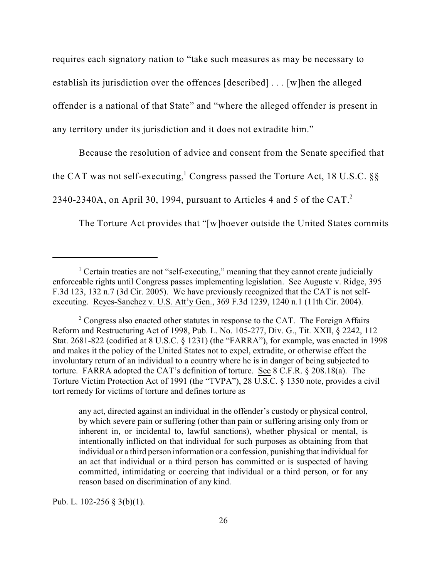requires each signatory nation to "take such measures as may be necessary to establish its jurisdiction over the offences [described] . . . [w]hen the alleged offender is a national of that State" and "where the alleged offender is present in any territory under its jurisdiction and it does not extradite him."

Because the resolution of advice and consent from the Senate specified that

the CAT was not self-executing,<sup>1</sup> Congress passed the Torture Act, 18 U.S.C. §§

2340-2340A, on April 30, 1994, pursuant to Articles 4 and 5 of the CAT. $^{2}$ 

The Torture Act provides that "[w]hoever outside the United States commits

any act, directed against an individual in the offender's custody or physical control, by which severe pain or suffering (other than pain or suffering arising only from or inherent in, or incidental to, lawful sanctions), whether physical or mental, is intentionally inflicted on that individual for such purposes as obtaining from that individual or a third person information or a confession, punishing that individual for an act that individual or a third person has committed or is suspected of having committed, intimidating or coercing that individual or a third person, or for any reason based on discrimination of any kind.

Pub. L. 102-256 § 3(b)(1).

<sup>&</sup>lt;sup>1</sup> Certain treaties are not "self-executing," meaning that they cannot create judicially enforceable rights until Congress passes implementing legislation. See Auguste v. Ridge, 395 F.3d 123, 132 n.7 (3d Cir. 2005). We have previously recognized that the CAT is not selfexecuting. Reyes-Sanchez v. U.S. Att'y Gen., 369 F.3d 1239, 1240 n.1 (11th Cir. 2004).

 $\degree$  Congress also enacted other statutes in response to the CAT. The Foreign Affairs Reform and Restructuring Act of 1998, Pub. L. No. 105-277, Div. G., Tit. XXII, § 2242, 112 Stat. 2681-822 (codified at 8 U.S.C. § 1231) (the "FARRA"), for example, was enacted in 1998 and makes it the policy of the United States not to expel, extradite, or otherwise effect the involuntary return of an individual to a country where he is in danger of being subjected to torture. FARRA adopted the CAT's definition of torture. See 8 C.F.R. § 208.18(a). The Torture Victim Protection Act of 1991 (the "TVPA"), 28 U.S.C. § 1350 note, provides a civil tort remedy for victims of torture and defines torture as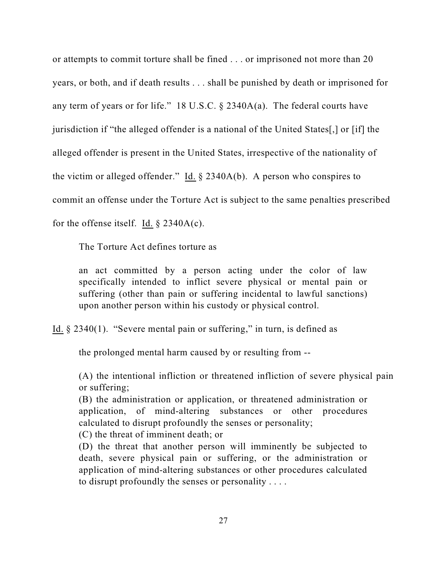or attempts to commit torture shall be fined . . . or imprisoned not more than 20 years, or both, and if death results . . . shall be punished by death or imprisoned for any term of years or for life." 18 U.S.C. § 2340A(a). The federal courts have jurisdiction if "the alleged offender is a national of the United States[,] or [if] the alleged offender is present in the United States, irrespective of the nationality of the victim or alleged offender." Id.  $\S$  2340A(b). A person who conspires to commit an offense under the Torture Act is subject to the same penalties prescribed for the offense itself. Id.  $\S$  2340A(c).

The Torture Act defines torture as

an act committed by a person acting under the color of law specifically intended to inflict severe physical or mental pain or suffering (other than pain or suffering incidental to lawful sanctions) upon another person within his custody or physical control.

Id. § 2340(1). "Severe mental pain or suffering," in turn, is defined as

the prolonged mental harm caused by or resulting from --

(A) the intentional infliction or threatened infliction of severe physical pain or suffering;

(B) the administration or application, or threatened administration or application, of mind-altering substances or other procedures calculated to disrupt profoundly the senses or personality;

(C) the threat of imminent death; or

(D) the threat that another person will imminently be subjected to death, severe physical pain or suffering, or the administration or application of mind-altering substances or other procedures calculated to disrupt profoundly the senses or personality . . . .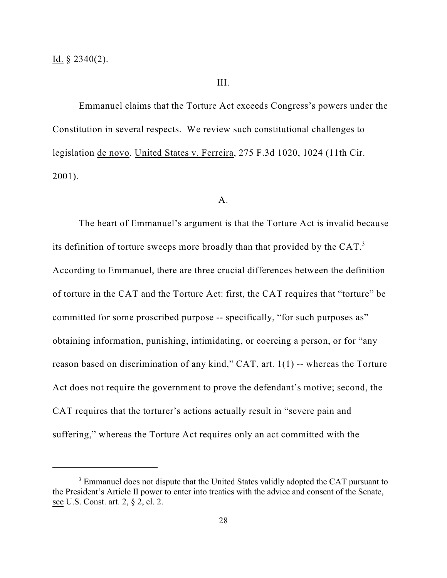#### III.

Emmanuel claims that the Torture Act exceeds Congress's powers under the Constitution in several respects. We review such constitutional challenges to legislation de novo. United States v. Ferreira, 275 F.3d 1020, 1024 (11th Cir. 2001).

#### A.

The heart of Emmanuel's argument is that the Torture Act is invalid because its definition of torture sweeps more broadly than that provided by the CAT. $^3$ According to Emmanuel, there are three crucial differences between the definition of torture in the CAT and the Torture Act: first, the CAT requires that "torture" be committed for some proscribed purpose -- specifically, "for such purposes as" obtaining information, punishing, intimidating, or coercing a person, or for "any reason based on discrimination of any kind," CAT, art. 1(1) -- whereas the Torture Act does not require the government to prove the defendant's motive; second, the CAT requires that the torturer's actions actually result in "severe pain and suffering," whereas the Torture Act requires only an act committed with the

<sup>&</sup>lt;sup>3</sup> Emmanuel does not dispute that the United States validly adopted the CAT pursuant to the President's Article II power to enter into treaties with the advice and consent of the Senate, see U.S. Const. art. 2, § 2, cl. 2.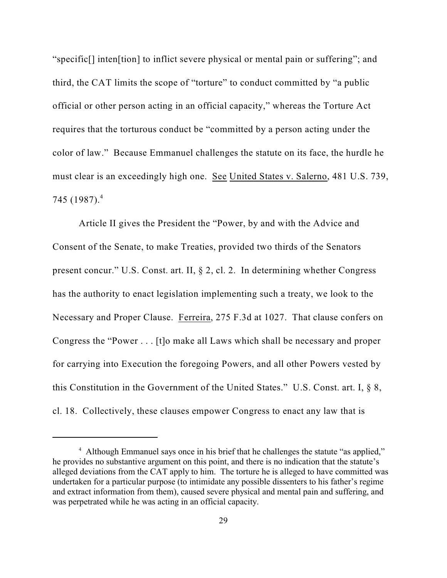"specific[] inten[tion] to inflict severe physical or mental pain or suffering"; and third, the CAT limits the scope of "torture" to conduct committed by "a public official or other person acting in an official capacity," whereas the Torture Act requires that the torturous conduct be "committed by a person acting under the color of law." Because Emmanuel challenges the statute on its face, the hurdle he must clear is an exceedingly high one. See United States v. Salerno, 481 U.S. 739, 745 (1987). 4

Article II gives the President the "Power, by and with the Advice and Consent of the Senate, to make Treaties, provided two thirds of the Senators present concur." U.S. Const. art. II, § 2, cl. 2. In determining whether Congress has the authority to enact legislation implementing such a treaty, we look to the Necessary and Proper Clause. Ferreira, 275 F.3d at 1027. That clause confers on Congress the "Power . . . [t]o make all Laws which shall be necessary and proper for carrying into Execution the foregoing Powers, and all other Powers vested by this Constitution in the Government of the United States." U.S. Const. art. I, § 8, cl. 18. Collectively, these clauses empower Congress to enact any law that is

<sup>&</sup>lt;sup>4</sup> Although Emmanuel says once in his brief that he challenges the statute "as applied," he provides no substantive argument on this point, and there is no indication that the statute's alleged deviations from the CAT apply to him. The torture he is alleged to have committed was undertaken for a particular purpose (to intimidate any possible dissenters to his father's regime and extract information from them), caused severe physical and mental pain and suffering, and was perpetrated while he was acting in an official capacity.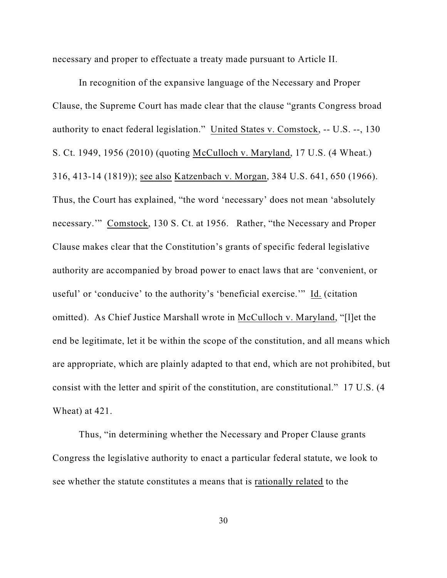necessary and proper to effectuate a treaty made pursuant to Article II.

In recognition of the expansive language of the Necessary and Proper Clause, the Supreme Court has made clear that the clause "grants Congress broad authority to enact federal legislation." United States v. Comstock, -- U.S. --, 130 S. Ct. 1949, 1956 (2010) (quoting McCulloch v. Maryland, 17 U.S. (4 Wheat.) 316, 413-14 (1819)); see also Katzenbach v. Morgan, 384 U.S. 641, 650 (1966). Thus, the Court has explained, "the word 'necessary' does not mean 'absolutely necessary.'" Comstock, 130 S. Ct. at 1956. Rather, "the Necessary and Proper Clause makes clear that the Constitution's grants of specific federal legislative authority are accompanied by broad power to enact laws that are 'convenient, or useful' or 'conducive' to the authority's 'beneficial exercise.'" Id. (citation omitted). As Chief Justice Marshall wrote in McCulloch v. Maryland, "[l]et the end be legitimate, let it be within the scope of the constitution, and all means which are appropriate, which are plainly adapted to that end, which are not prohibited, but consist with the letter and spirit of the constitution, are constitutional." 17 U.S. (4 Wheat) at 421.

Thus, "in determining whether the Necessary and Proper Clause grants Congress the legislative authority to enact a particular federal statute, we look to see whether the statute constitutes a means that is rationally related to the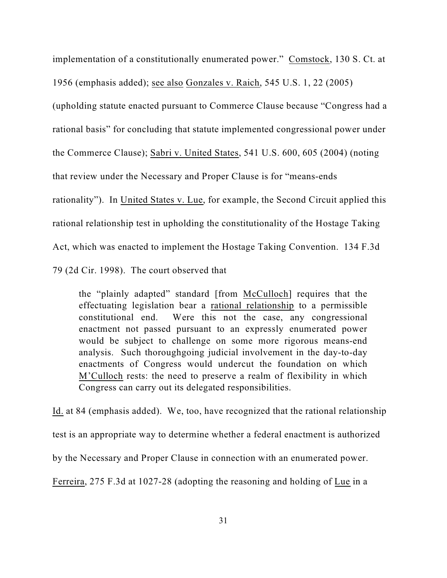implementation of a constitutionally enumerated power." Comstock, 130 S. Ct. at

1956 (emphasis added); see also Gonzales v. Raich, 545 U.S. 1, 22 (2005)

(upholding statute enacted pursuant to Commerce Clause because "Congress had a rational basis" for concluding that statute implemented congressional power under the Commerce Clause); Sabri v. United States, 541 U.S. 600, 605 (2004) (noting that review under the Necessary and Proper Clause is for "means-ends rationality"). In United States v. Lue, for example, the Second Circuit applied this rational relationship test in upholding the constitutionality of the Hostage Taking Act, which was enacted to implement the Hostage Taking Convention. 134 F.3d 79 (2d Cir. 1998). The court observed that

the "plainly adapted" standard [from McCulloch] requires that the effectuating legislation bear a rational relationship to a permissible constitutional end. Were this not the case, any congressional enactment not passed pursuant to an expressly enumerated power would be subject to challenge on some more rigorous means-end analysis. Such thoroughgoing judicial involvement in the day-to-day enactments of Congress would undercut the foundation on which M'Culloch rests: the need to preserve a realm of flexibility in which Congress can carry out its delegated responsibilities.

Id. at 84 (emphasis added). We, too, have recognized that the rational relationship test is an appropriate way to determine whether a federal enactment is authorized by the Necessary and Proper Clause in connection with an enumerated power. Ferreira, 275 F.3d at 1027-28 (adopting the reasoning and holding of Lue in a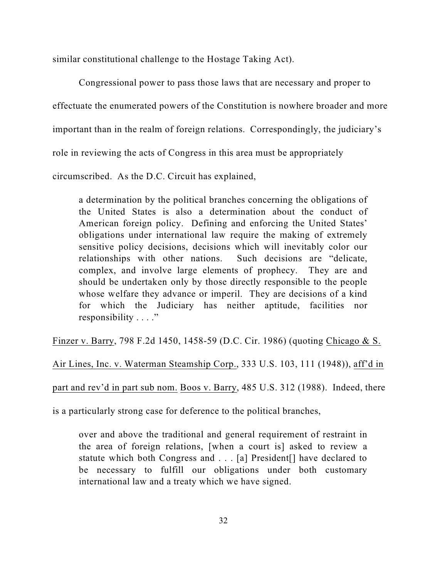similar constitutional challenge to the Hostage Taking Act).

Congressional power to pass those laws that are necessary and proper to effectuate the enumerated powers of the Constitution is nowhere broader and more important than in the realm of foreign relations. Correspondingly, the judiciary's role in reviewing the acts of Congress in this area must be appropriately circumscribed. As the D.C. Circuit has explained,

a determination by the political branches concerning the obligations of the United States is also a determination about the conduct of American foreign policy. Defining and enforcing the United States' obligations under international law require the making of extremely sensitive policy decisions, decisions which will inevitably color our relationships with other nations. Such decisions are "delicate, complex, and involve large elements of prophecy. They are and should be undertaken only by those directly responsible to the people whose welfare they advance or imperil. They are decisions of a kind for which the Judiciary has neither aptitude, facilities nor responsibility . . . ."

Finzer v. Barry, 798 F.2d 1450, 1458-59 (D.C. Cir. 1986) (quoting Chicago & S.

Air Lines, Inc. v. Waterman Steamship Corp., 333 U.S. 103, 111 (1948)), aff'd in

part and rev'd in part sub nom. Boos v. Barry, 485 U.S. 312 (1988). Indeed, there

is a particularly strong case for deference to the political branches,

over and above the traditional and general requirement of restraint in the area of foreign relations, [when a court is] asked to review a statute which both Congress and . . . [a] President[] have declared to be necessary to fulfill our obligations under both customary international law and a treaty which we have signed.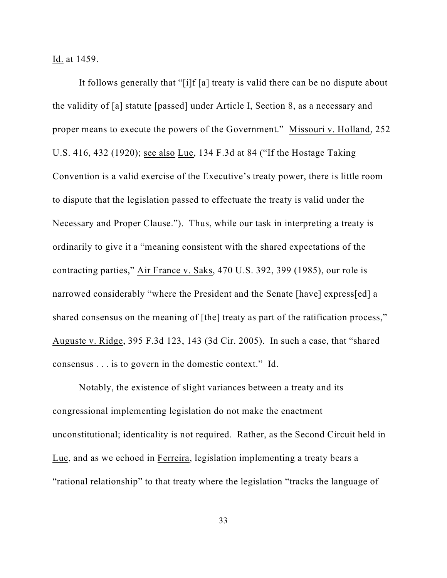Id. at 1459.

It follows generally that "[i]f [a] treaty is valid there can be no dispute about the validity of [a] statute [passed] under Article I, Section 8, as a necessary and proper means to execute the powers of the Government." Missouri v. Holland, 252 U.S. 416, 432 (1920); see also Lue, 134 F.3d at 84 ("If the Hostage Taking Convention is a valid exercise of the Executive's treaty power, there is little room to dispute that the legislation passed to effectuate the treaty is valid under the Necessary and Proper Clause."). Thus, while our task in interpreting a treaty is ordinarily to give it a "meaning consistent with the shared expectations of the contracting parties," Air France v. Saks, 470 U.S. 392, 399 (1985), our role is narrowed considerably "where the President and the Senate [have] express[ed] a shared consensus on the meaning of [the] treaty as part of the ratification process," Auguste v. Ridge, 395 F.3d 123, 143 (3d Cir. 2005). In such a case, that "shared consensus . . . is to govern in the domestic context." Id.

Notably, the existence of slight variances between a treaty and its congressional implementing legislation do not make the enactment unconstitutional; identicality is not required. Rather, as the Second Circuit held in Lue, and as we echoed in Ferreira, legislation implementing a treaty bears a "rational relationship" to that treaty where the legislation "tracks the language of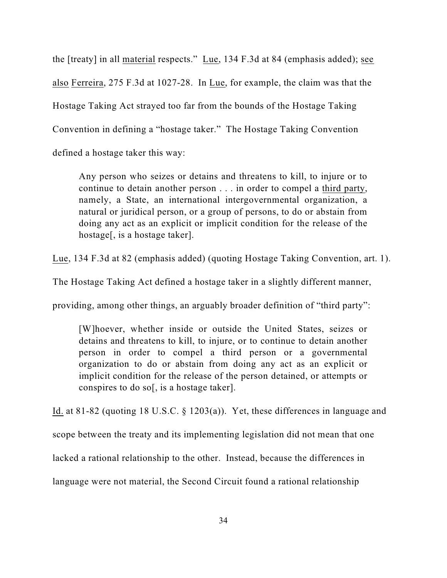the [treaty] in all material respects." Lue, 134 F.3d at 84 (emphasis added); see also Ferreira, 275 F.3d at 1027-28. In Lue, for example, the claim was that the Hostage Taking Act strayed too far from the bounds of the Hostage Taking Convention in defining a "hostage taker." The Hostage Taking Convention defined a hostage taker this way:

Any person who seizes or detains and threatens to kill, to injure or to continue to detain another person . . . in order to compel a third party, namely, a State, an international intergovernmental organization, a natural or juridical person, or a group of persons, to do or abstain from doing any act as an explicit or implicit condition for the release of the hostage[, is a hostage taker].

Lue, 134 F.3d at 82 (emphasis added) (quoting Hostage Taking Convention, art. 1).

The Hostage Taking Act defined a hostage taker in a slightly different manner,

providing, among other things, an arguably broader definition of "third party":

[W]hoever, whether inside or outside the United States, seizes or detains and threatens to kill, to injure, or to continue to detain another person in order to compel a third person or a governmental organization to do or abstain from doing any act as an explicit or implicit condition for the release of the person detained, or attempts or conspires to do so[, is a hostage taker].

Id. at 81-82 (quoting 18 U.S.C. § 1203(a)). Yet, these differences in language and scope between the treaty and its implementing legislation did not mean that one

lacked a rational relationship to the other. Instead, because the differences in

language were not material, the Second Circuit found a rational relationship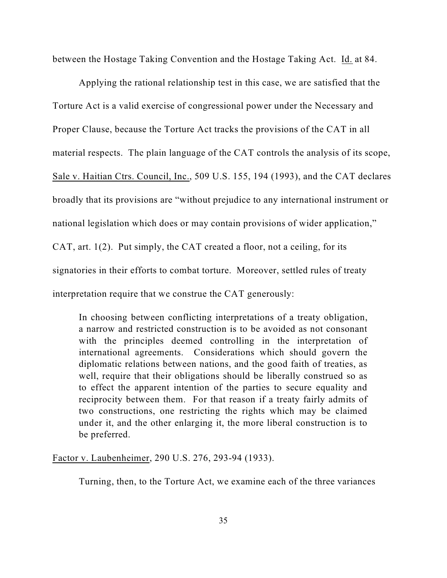between the Hostage Taking Convention and the Hostage Taking Act. Id. at 84.

Applying the rational relationship test in this case, we are satisfied that the Torture Act is a valid exercise of congressional power under the Necessary and Proper Clause, because the Torture Act tracks the provisions of the CAT in all material respects. The plain language of the CAT controls the analysis of its scope, Sale v. Haitian Ctrs. Council, Inc., 509 U.S. 155, 194 (1993), and the CAT declares broadly that its provisions are "without prejudice to any international instrument or national legislation which does or may contain provisions of wider application," CAT, art. 1(2). Put simply, the CAT created a floor, not a ceiling, for its signatories in their efforts to combat torture. Moreover, settled rules of treaty interpretation require that we construe the CAT generously:

In choosing between conflicting interpretations of a treaty obligation, a narrow and restricted construction is to be avoided as not consonant with the principles deemed controlling in the interpretation of international agreements. Considerations which should govern the diplomatic relations between nations, and the good faith of treaties, as well, require that their obligations should be liberally construed so as to effect the apparent intention of the parties to secure equality and reciprocity between them. For that reason if a treaty fairly admits of two constructions, one restricting the rights which may be claimed under it, and the other enlarging it, the more liberal construction is to be preferred.

Factor v. Laubenheimer, 290 U.S. 276, 293-94 (1933).

Turning, then, to the Torture Act, we examine each of the three variances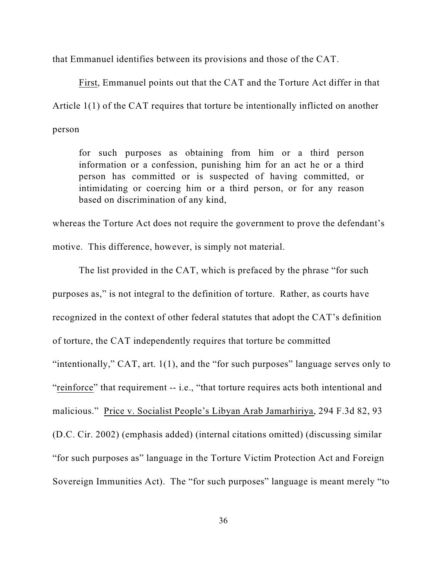that Emmanuel identifies between its provisions and those of the CAT.

First, Emmanuel points out that the CAT and the Torture Act differ in that Article 1(1) of the CAT requires that torture be intentionally inflicted on another person

for such purposes as obtaining from him or a third person information or a confession, punishing him for an act he or a third person has committed or is suspected of having committed, or intimidating or coercing him or a third person, or for any reason based on discrimination of any kind,

whereas the Torture Act does not require the government to prove the defendant's motive. This difference, however, is simply not material.

The list provided in the CAT, which is prefaced by the phrase "for such purposes as," is not integral to the definition of torture. Rather, as courts have recognized in the context of other federal statutes that adopt the CAT's definition of torture, the CAT independently requires that torture be committed "intentionally," CAT, art. 1(1), and the "for such purposes" language serves only to "reinforce" that requirement -- i.e., "that torture requires acts both intentional and malicious." Price v. Socialist People's Libyan Arab Jamarhiriya, 294 F.3d 82, 93 (D.C. Cir. 2002) (emphasis added) (internal citations omitted) (discussing similar "for such purposes as" language in the Torture Victim Protection Act and Foreign Sovereign Immunities Act). The "for such purposes" language is meant merely "to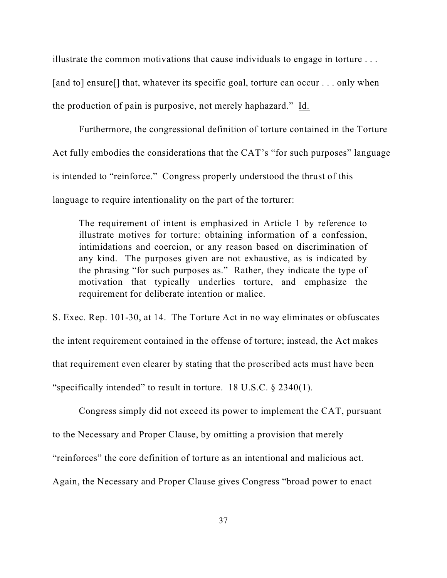illustrate the common motivations that cause individuals to engage in torture . . .

[and to] ensure[] that, whatever its specific goal, torture can occur . . . only when

the production of pain is purposive, not merely haphazard." Id.

Furthermore, the congressional definition of torture contained in the Torture Act fully embodies the considerations that the CAT's "for such purposes" language is intended to "reinforce." Congress properly understood the thrust of this language to require intentionality on the part of the torturer:

The requirement of intent is emphasized in Article 1 by reference to illustrate motives for torture: obtaining information of a confession, intimidations and coercion, or any reason based on discrimination of any kind. The purposes given are not exhaustive, as is indicated by the phrasing "for such purposes as." Rather, they indicate the type of motivation that typically underlies torture, and emphasize the requirement for deliberate intention or malice.

S. Exec. Rep. 101-30, at 14. The Torture Act in no way eliminates or obfuscates the intent requirement contained in the offense of torture; instead, the Act makes that requirement even clearer by stating that the proscribed acts must have been "specifically intended" to result in torture. 18 U.S.C. § 2340(1).

Congress simply did not exceed its power to implement the CAT, pursuant to the Necessary and Proper Clause, by omitting a provision that merely

"reinforces" the core definition of torture as an intentional and malicious act.

Again, the Necessary and Proper Clause gives Congress "broad power to enact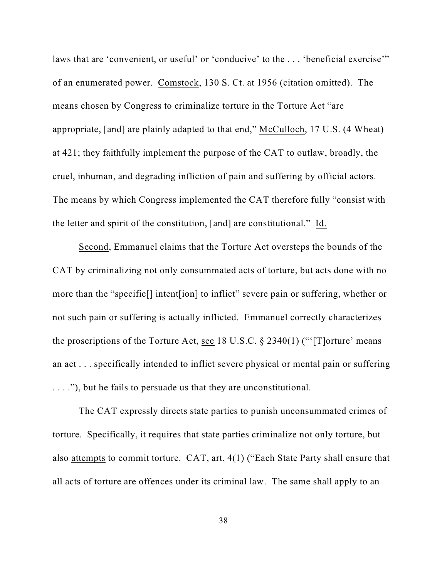laws that are 'convenient, or useful' or 'conducive' to the ... 'beneficial exercise'" of an enumerated power. Comstock, 130 S. Ct. at 1956 (citation omitted). The means chosen by Congress to criminalize torture in the Torture Act "are appropriate, [and] are plainly adapted to that end," McCulloch, 17 U.S. (4 Wheat) at 421; they faithfully implement the purpose of the CAT to outlaw, broadly, the cruel, inhuman, and degrading infliction of pain and suffering by official actors. The means by which Congress implemented the CAT therefore fully "consist with the letter and spirit of the constitution, [and] are constitutional." Id.

Second, Emmanuel claims that the Torture Act oversteps the bounds of the CAT by criminalizing not only consummated acts of torture, but acts done with no more than the "specific[] intent[ion] to inflict" severe pain or suffering, whether or not such pain or suffering is actually inflicted. Emmanuel correctly characterizes the proscriptions of the Torture Act, see 18 U.S.C.  $\S 2340(1)$  ("'[T]orture' means an act . . . specifically intended to inflict severe physical or mental pain or suffering . . . ."), but he fails to persuade us that they are unconstitutional.

The CAT expressly directs state parties to punish unconsummated crimes of torture. Specifically, it requires that state parties criminalize not only torture, but also attempts to commit torture. CAT, art. 4(1) ("Each State Party shall ensure that all acts of torture are offences under its criminal law. The same shall apply to an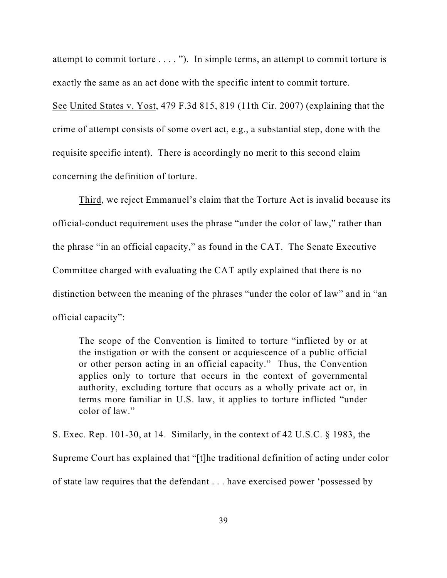attempt to commit torture . . . . "). In simple terms, an attempt to commit torture is exactly the same as an act done with the specific intent to commit torture.

See United States v. Yost, 479 F.3d 815, 819 (11th Cir. 2007) (explaining that the crime of attempt consists of some overt act, e.g., a substantial step, done with the requisite specific intent). There is accordingly no merit to this second claim concerning the definition of torture.

Third, we reject Emmanuel's claim that the Torture Act is invalid because its official-conduct requirement uses the phrase "under the color of law," rather than the phrase "in an official capacity," as found in the CAT. The Senate Executive Committee charged with evaluating the CAT aptly explained that there is no distinction between the meaning of the phrases "under the color of law" and in "an official capacity":

The scope of the Convention is limited to torture "inflicted by or at the instigation or with the consent or acquiescence of a public official or other person acting in an official capacity." Thus, the Convention applies only to torture that occurs in the context of governmental authority, excluding torture that occurs as a wholly private act or, in terms more familiar in U.S. law, it applies to torture inflicted "under color of law."

S. Exec. Rep. 101-30, at 14. Similarly, in the context of 42 U.S.C. § 1983, the Supreme Court has explained that "[t]he traditional definition of acting under color of state law requires that the defendant . . . have exercised power 'possessed by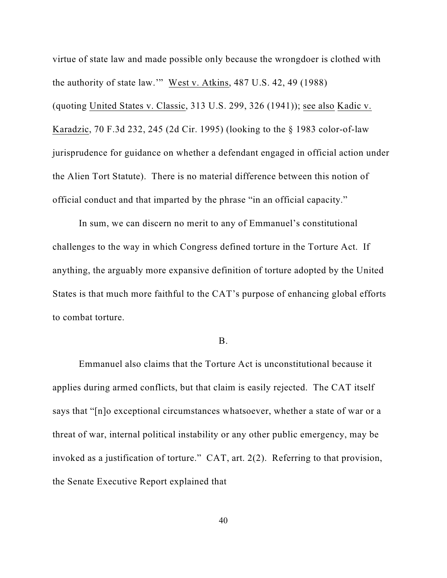virtue of state law and made possible only because the wrongdoer is clothed with the authority of state law.'" West v. Atkins, 487 U.S. 42, 49 (1988) (quoting United States v. Classic, 313 U.S. 299, 326 (1941)); see also Kadic v. Karadzic, 70 F.3d 232, 245 (2d Cir. 1995) (looking to the § 1983 color-of-law jurisprudence for guidance on whether a defendant engaged in official action under the Alien Tort Statute). There is no material difference between this notion of official conduct and that imparted by the phrase "in an official capacity."

In sum, we can discern no merit to any of Emmanuel's constitutional challenges to the way in which Congress defined torture in the Torture Act. If anything, the arguably more expansive definition of torture adopted by the United States is that much more faithful to the CAT's purpose of enhancing global efforts to combat torture.

# B.

Emmanuel also claims that the Torture Act is unconstitutional because it applies during armed conflicts, but that claim is easily rejected. The CAT itself says that "[n]o exceptional circumstances whatsoever, whether a state of war or a threat of war, internal political instability or any other public emergency, may be invoked as a justification of torture." CAT, art. 2(2). Referring to that provision, the Senate Executive Report explained that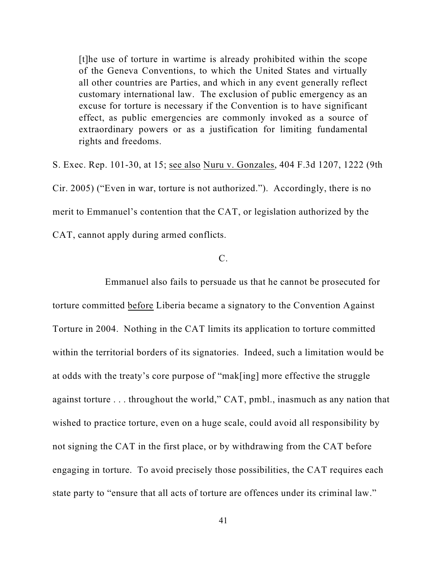[t]he use of torture in wartime is already prohibited within the scope of the Geneva Conventions, to which the United States and virtually all other countries are Parties, and which in any event generally reflect customary international law. The exclusion of public emergency as an excuse for torture is necessary if the Convention is to have significant effect, as public emergencies are commonly invoked as a source of extraordinary powers or as a justification for limiting fundamental rights and freedoms.

S. Exec. Rep. 101-30, at 15; see also Nuru v. Gonzales, 404 F.3d 1207, 1222 (9th Cir. 2005) ("Even in war, torture is not authorized."). Accordingly, there is no merit to Emmanuel's contention that the CAT, or legislation authorized by the CAT, cannot apply during armed conflicts.

# $C<sub>1</sub>$

Emmanuel also fails to persuade us that he cannot be prosecuted for torture committed before Liberia became a signatory to the Convention Against Torture in 2004. Nothing in the CAT limits its application to torture committed within the territorial borders of its signatories. Indeed, such a limitation would be at odds with the treaty's core purpose of "mak[ing] more effective the struggle against torture . . . throughout the world," CAT, pmbl., inasmuch as any nation that wished to practice torture, even on a huge scale, could avoid all responsibility by not signing the CAT in the first place, or by withdrawing from the CAT before engaging in torture. To avoid precisely those possibilities, the CAT requires each state party to "ensure that all acts of torture are offences under its criminal law."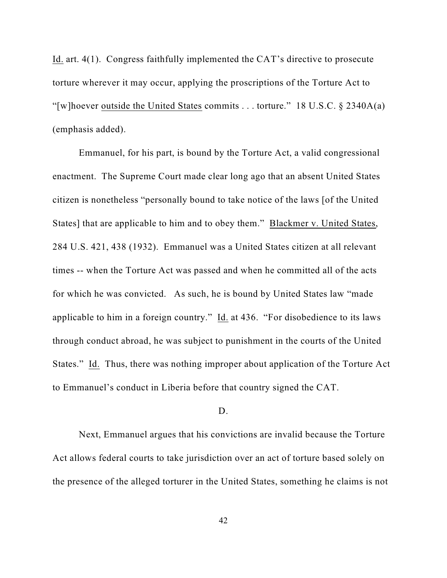Id. art. 4(1). Congress faithfully implemented the CAT's directive to prosecute torture wherever it may occur, applying the proscriptions of the Torture Act to "[w]hoever outside the United States commits . . . torture." 18 U.S.C.  $\S$  2340A(a) (emphasis added).

Emmanuel, for his part, is bound by the Torture Act, a valid congressional enactment. The Supreme Court made clear long ago that an absent United States citizen is nonetheless "personally bound to take notice of the laws [of the United States] that are applicable to him and to obey them." Blackmer v. United States, 284 U.S. 421, 438 (1932). Emmanuel was a United States citizen at all relevant times -- when the Torture Act was passed and when he committed all of the acts for which he was convicted. As such, he is bound by United States law "made applicable to him in a foreign country." Id. at 436. "For disobedience to its laws through conduct abroad, he was subject to punishment in the courts of the United States." Id. Thus, there was nothing improper about application of the Torture Act to Emmanuel's conduct in Liberia before that country signed the CAT.

# D.

Next, Emmanuel argues that his convictions are invalid because the Torture Act allows federal courts to take jurisdiction over an act of torture based solely on the presence of the alleged torturer in the United States, something he claims is not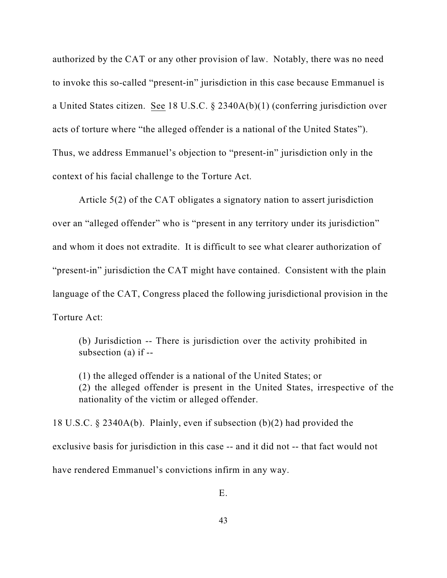authorized by the CAT or any other provision of law. Notably, there was no need to invoke this so-called "present-in" jurisdiction in this case because Emmanuel is a United States citizen. See 18 U.S.C. § 2340A(b)(1) (conferring jurisdiction over acts of torture where "the alleged offender is a national of the United States"). Thus, we address Emmanuel's objection to "present-in" jurisdiction only in the context of his facial challenge to the Torture Act.

Article 5(2) of the CAT obligates a signatory nation to assert jurisdiction over an "alleged offender" who is "present in any territory under its jurisdiction" and whom it does not extradite. It is difficult to see what clearer authorization of "present-in" jurisdiction the CAT might have contained. Consistent with the plain language of the CAT, Congress placed the following jurisdictional provision in the Torture Act:

(b) Jurisdiction -- There is jurisdiction over the activity prohibited in subsection (a) if --

(1) the alleged offender is a national of the United States; or (2) the alleged offender is present in the United States, irrespective of the nationality of the victim or alleged offender.

18 U.S.C. § 2340A(b). Plainly, even if subsection (b)(2) had provided the exclusive basis for jurisdiction in this case -- and it did not -- that fact would not have rendered Emmanuel's convictions infirm in any way.

E.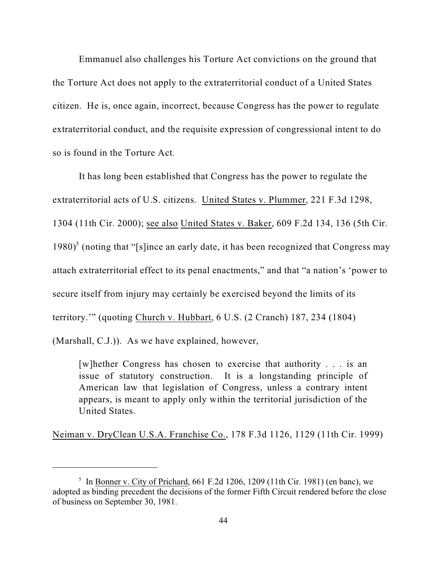Emmanuel also challenges his Torture Act convictions on the ground that the Torture Act does not apply to the extraterritorial conduct of a United States citizen. He is, once again, incorrect, because Congress has the power to regulate extraterritorial conduct, and the requisite expression of congressional intent to do so is found in the Torture Act.

It has long been established that Congress has the power to regulate the extraterritorial acts of U.S. citizens. United States v. Plummer, 221 F.3d 1298, 1304 (11th Cir. 2000); see also United States v. Baker, 609 F.2d 134, 136 (5th Cir. 1980)<sup>5</sup> (noting that "[s]ince an early date, it has been recognized that Congress may attach extraterritorial effect to its penal enactments," and that "a nation's 'power to secure itself from injury may certainly be exercised beyond the limits of its territory.'" (quoting Church v. Hubbart, 6 U.S. (2 Cranch) 187, 234 (1804) (Marshall, C.J.)). As we have explained, however,

[w]hether Congress has chosen to exercise that authority . . . is an issue of statutory construction. It is a longstanding principle of American law that legislation of Congress, unless a contrary intent appears, is meant to apply only within the territorial jurisdiction of the United States.

Neiman v. DryClean U.S.A. Franchise Co., 178 F.3d 1126, 1129 (11th Cir. 1999)

<sup>&</sup>lt;sup>5</sup> In Bonner v. City of Prichard, 661 F.2d 1206, 1209 (11th Cir. 1981) (en banc), we adopted as binding precedent the decisions of the former Fifth Circuit rendered before the close of business on September 30, 1981.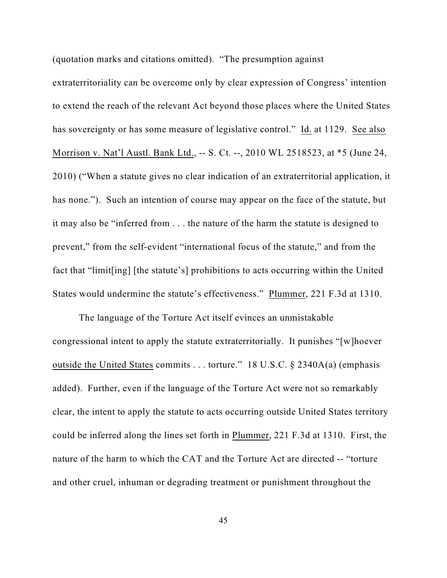(quotation marks and citations omitted). "The presumption against

extraterritoriality can be overcome only by clear expression of Congress' intention to extend the reach of the relevant Act beyond those places where the United States has sovereignty or has some measure of legislative control." Id. at 1129. See also Morrison v. Nat'l Austl. Bank Ltd., -- S. Ct. --, 2010 WL 2518523, at \*5 (June 24, 2010) ("When a statute gives no clear indication of an extraterritorial application, it has none."). Such an intention of course may appear on the face of the statute, but it may also be "inferred from . . . the nature of the harm the statute is designed to prevent," from the self-evident "international focus of the statute," and from the fact that "limit[ing] [the statute's] prohibitions to acts occurring within the United States would undermine the statute's effectiveness." Plummer, 221 F.3d at 1310.

The language of the Torture Act itself evinces an unmistakable congressional intent to apply the statute extraterritorially. It punishes "[w]hoever outside the United States commits . . . torture." 18 U.S.C. § 2340A(a) (emphasis added). Further, even if the language of the Torture Act were not so remarkably clear, the intent to apply the statute to acts occurring outside United States territory could be inferred along the lines set forth in Plummer, 221 F.3d at 1310. First, the nature of the harm to which the CAT and the Torture Act are directed -- "torture and other cruel, inhuman or degrading treatment or punishment throughout the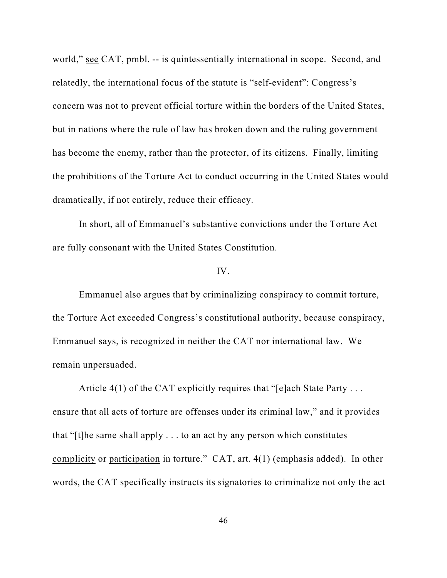world," see CAT, pmbl. -- is quintessentially international in scope. Second, and relatedly, the international focus of the statute is "self-evident": Congress's concern was not to prevent official torture within the borders of the United States, but in nations where the rule of law has broken down and the ruling government has become the enemy, rather than the protector, of its citizens. Finally, limiting the prohibitions of the Torture Act to conduct occurring in the United States would dramatically, if not entirely, reduce their efficacy.

In short, all of Emmanuel's substantive convictions under the Torture Act are fully consonant with the United States Constitution.

# IV.

Emmanuel also argues that by criminalizing conspiracy to commit torture, the Torture Act exceeded Congress's constitutional authority, because conspiracy, Emmanuel says, is recognized in neither the CAT nor international law. We remain unpersuaded.

Article  $4(1)$  of the CAT explicitly requires that "[e]ach State Party ... ensure that all acts of torture are offenses under its criminal law," and it provides that "[t]he same shall apply . . . to an act by any person which constitutes complicity or participation in torture." CAT, art. 4(1) (emphasis added). In other words, the CAT specifically instructs its signatories to criminalize not only the act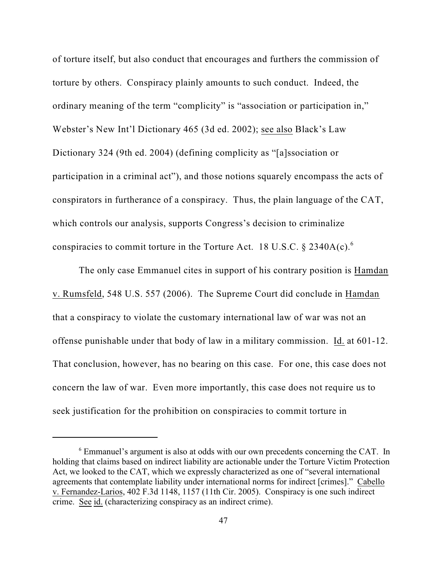of torture itself, but also conduct that encourages and furthers the commission of torture by others. Conspiracy plainly amounts to such conduct. Indeed, the ordinary meaning of the term "complicity" is "association or participation in," Webster's New Int'l Dictionary 465 (3d ed. 2002); see also Black's Law Dictionary 324 (9th ed. 2004) (defining complicity as "[a]ssociation or participation in a criminal act"), and those notions squarely encompass the acts of conspirators in furtherance of a conspiracy. Thus, the plain language of the CAT, which controls our analysis, supports Congress's decision to criminalize conspiracies to commit torture in the Torture Act. 18 U.S.C.  $\S$  2340A(c).

The only case Emmanuel cites in support of his contrary position is Hamdan v. Rumsfeld, 548 U.S. 557 (2006). The Supreme Court did conclude in Hamdan that a conspiracy to violate the customary international law of war was not an offense punishable under that body of law in a military commission. Id. at 601-12. That conclusion, however, has no bearing on this case. For one, this case does not concern the law of war. Even more importantly, this case does not require us to seek justification for the prohibition on conspiracies to commit torture in

 $6$  Emmanuel's argument is also at odds with our own precedents concerning the CAT. In holding that claims based on indirect liability are actionable under the Torture Victim Protection Act, we looked to the CAT, which we expressly characterized as one of "several international agreements that contemplate liability under international norms for indirect [crimes]." Cabello v. Fernandez-Larios, 402 F.3d 1148, 1157 (11th Cir. 2005). Conspiracy is one such indirect crime. See id. (characterizing conspiracy as an indirect crime).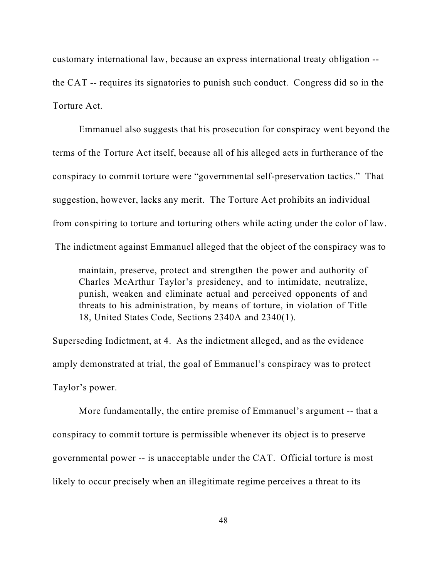customary international law, because an express international treaty obligation - the CAT -- requires its signatories to punish such conduct. Congress did so in the Torture Act.

Emmanuel also suggests that his prosecution for conspiracy went beyond the terms of the Torture Act itself, because all of his alleged acts in furtherance of the conspiracy to commit torture were "governmental self-preservation tactics." That suggestion, however, lacks any merit. The Torture Act prohibits an individual from conspiring to torture and torturing others while acting under the color of law. The indictment against Emmanuel alleged that the object of the conspiracy was to

maintain, preserve, protect and strengthen the power and authority of Charles McArthur Taylor's presidency, and to intimidate, neutralize, punish, weaken and eliminate actual and perceived opponents of and threats to his administration, by means of torture, in violation of Title 18, United States Code, Sections 2340A and 2340(1).

Superseding Indictment, at 4. As the indictment alleged, and as the evidence amply demonstrated at trial, the goal of Emmanuel's conspiracy was to protect Taylor's power.

More fundamentally, the entire premise of Emmanuel's argument -- that a conspiracy to commit torture is permissible whenever its object is to preserve governmental power -- is unacceptable under the CAT. Official torture is most likely to occur precisely when an illegitimate regime perceives a threat to its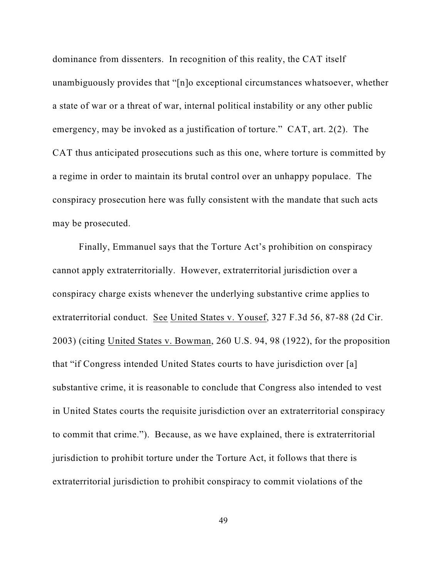dominance from dissenters. In recognition of this reality, the CAT itself unambiguously provides that "[n]o exceptional circumstances whatsoever, whether a state of war or a threat of war, internal political instability or any other public emergency, may be invoked as a justification of torture." CAT, art. 2(2). The CAT thus anticipated prosecutions such as this one, where torture is committed by a regime in order to maintain its brutal control over an unhappy populace. The conspiracy prosecution here was fully consistent with the mandate that such acts may be prosecuted.

Finally, Emmanuel says that the Torture Act's prohibition on conspiracy cannot apply extraterritorially. However, extraterritorial jurisdiction over a conspiracy charge exists whenever the underlying substantive crime applies to extraterritorial conduct. See United States v. Yousef, 327 F.3d 56, 87-88 (2d Cir. 2003) (citing United States v. Bowman, 260 U.S. 94, 98 (1922), for the proposition that "if Congress intended United States courts to have jurisdiction over [a] substantive crime, it is reasonable to conclude that Congress also intended to vest in United States courts the requisite jurisdiction over an extraterritorial conspiracy to commit that crime."). Because, as we have explained, there is extraterritorial jurisdiction to prohibit torture under the Torture Act, it follows that there is extraterritorial jurisdiction to prohibit conspiracy to commit violations of the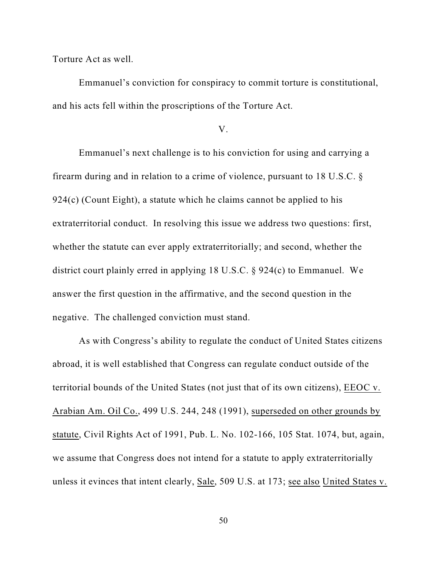Torture Act as well.

Emmanuel's conviction for conspiracy to commit torture is constitutional, and his acts fell within the proscriptions of the Torture Act.

V.

Emmanuel's next challenge is to his conviction for using and carrying a firearm during and in relation to a crime of violence, pursuant to 18 U.S.C. §  $924(c)$  (Count Eight), a statute which he claims cannot be applied to his extraterritorial conduct. In resolving this issue we address two questions: first, whether the statute can ever apply extraterritorially; and second, whether the district court plainly erred in applying 18 U.S.C. § 924(c) to Emmanuel. We answer the first question in the affirmative, and the second question in the negative. The challenged conviction must stand.

As with Congress's ability to regulate the conduct of United States citizens abroad, it is well established that Congress can regulate conduct outside of the territorial bounds of the United States (not just that of its own citizens), EEOC v. Arabian Am. Oil Co., 499 U.S. 244, 248 (1991), superseded on other grounds by statute, Civil Rights Act of 1991, Pub. L. No. 102-166, 105 Stat. 1074, but, again, we assume that Congress does not intend for a statute to apply extraterritorially unless it evinces that intent clearly, Sale, 509 U.S. at 173; see also United States v.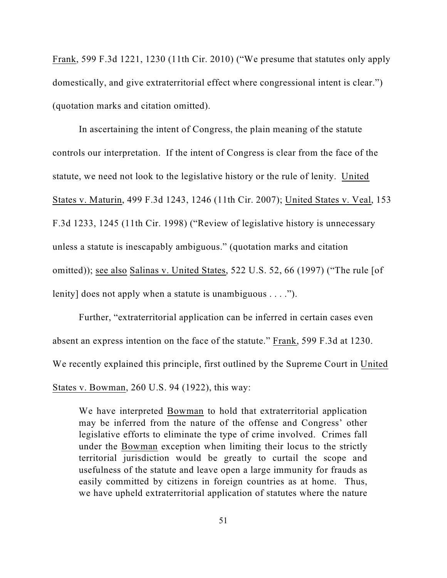Frank, 599 F.3d 1221, 1230 (11th Cir. 2010) ("We presume that statutes only apply domestically, and give extraterritorial effect where congressional intent is clear.") (quotation marks and citation omitted).

In ascertaining the intent of Congress, the plain meaning of the statute controls our interpretation. If the intent of Congress is clear from the face of the statute, we need not look to the legislative history or the rule of lenity. United States v. Maturin, 499 F.3d 1243, 1246 (11th Cir. 2007); United States v. Veal, 153 F.3d 1233, 1245 (11th Cir. 1998) ("Review of legislative history is unnecessary unless a statute is inescapably ambiguous." (quotation marks and citation omitted)); see also Salinas v. United States, 522 U.S. 52, 66 (1997) ("The rule [of lenity] does not apply when a statute is unambiguous . . . .").

Further, "extraterritorial application can be inferred in certain cases even absent an express intention on the face of the statute." Frank, 599 F.3d at 1230. We recently explained this principle, first outlined by the Supreme Court in United States v. Bowman, 260 U.S. 94 (1922), this way:

We have interpreted Bowman to hold that extraterritorial application may be inferred from the nature of the offense and Congress' other legislative efforts to eliminate the type of crime involved. Crimes fall under the Bowman exception when limiting their locus to the strictly territorial jurisdiction would be greatly to curtail the scope and usefulness of the statute and leave open a large immunity for frauds as easily committed by citizens in foreign countries as at home. Thus, we have upheld extraterritorial application of statutes where the nature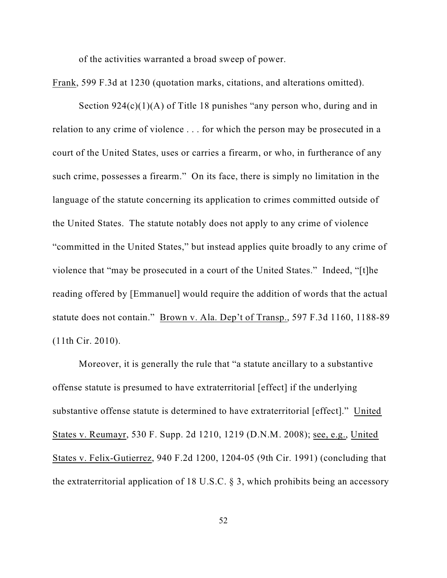of the activities warranted a broad sweep of power.

Frank, 599 F.3d at 1230 (quotation marks, citations, and alterations omitted).

Section  $924(c)(1)(A)$  of Title 18 punishes "any person who, during and in relation to any crime of violence . . . for which the person may be prosecuted in a court of the United States, uses or carries a firearm, or who, in furtherance of any such crime, possesses a firearm." On its face, there is simply no limitation in the language of the statute concerning its application to crimes committed outside of the United States. The statute notably does not apply to any crime of violence "committed in the United States," but instead applies quite broadly to any crime of violence that "may be prosecuted in a court of the United States." Indeed, "[t]he reading offered by [Emmanuel] would require the addition of words that the actual statute does not contain." Brown v. Ala. Dep't of Transp., 597 F.3d 1160, 1188-89 (11th Cir. 2010).

Moreover, it is generally the rule that "a statute ancillary to a substantive offense statute is presumed to have extraterritorial [effect] if the underlying substantive offense statute is determined to have extraterritorial [effect]." United States v. Reumayr, 530 F. Supp. 2d 1210, 1219 (D.N.M. 2008); see, e.g., United States v. Felix-Gutierrez, 940 F.2d 1200, 1204-05 (9th Cir. 1991) (concluding that the extraterritorial application of 18 U.S.C. § 3, which prohibits being an accessory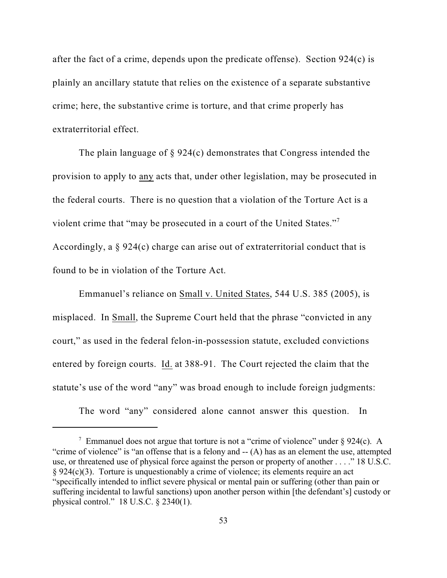after the fact of a crime, depends upon the predicate offense). Section 924(c) is plainly an ancillary statute that relies on the existence of a separate substantive crime; here, the substantive crime is torture, and that crime properly has extraterritorial effect.

The plain language of § 924(c) demonstrates that Congress intended the provision to apply to any acts that, under other legislation, may be prosecuted in the federal courts. There is no question that a violation of the Torture Act is a violent crime that "may be prosecuted in a court of the United States."<sup>7</sup> Accordingly, a § 924(c) charge can arise out of extraterritorial conduct that is found to be in violation of the Torture Act.

Emmanuel's reliance on Small v. United States, 544 U.S. 385 (2005), is misplaced. In Small, the Supreme Court held that the phrase "convicted in any court," as used in the federal felon-in-possession statute, excluded convictions entered by foreign courts. Id. at 388-91. The Court rejected the claim that the statute's use of the word "any" was broad enough to include foreign judgments:

The word "any" considered alone cannot answer this question. In

<sup>&</sup>lt;sup>7</sup> Emmanuel does not argue that torture is not a "crime of violence" under  $\S 924(c)$ . A "crime of violence" is "an offense that is a felony and -- (A) has as an element the use, attempted use, or threatened use of physical force against the person or property of another . . . ." 18 U.S.C. § 924(c)(3). Torture is unquestionably a crime of violence; its elements require an act "specifically intended to inflict severe physical or mental pain or suffering (other than pain or suffering incidental to lawful sanctions) upon another person within [the defendant's] custody or physical control." 18 U.S.C. § 2340(1).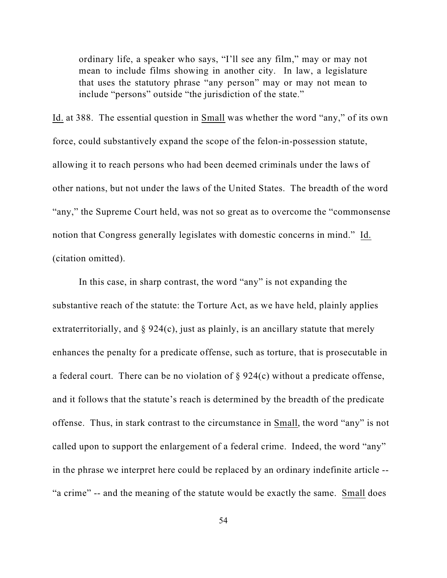ordinary life, a speaker who says, "I'll see any film," may or may not mean to include films showing in another city. In law, a legislature that uses the statutory phrase "any person" may or may not mean to include "persons" outside "the jurisdiction of the state."

Id. at 388. The essential question in Small was whether the word "any," of its own force, could substantively expand the scope of the felon-in-possession statute, allowing it to reach persons who had been deemed criminals under the laws of other nations, but not under the laws of the United States. The breadth of the word "any," the Supreme Court held, was not so great as to overcome the "commonsense notion that Congress generally legislates with domestic concerns in mind." Id. (citation omitted).

In this case, in sharp contrast, the word "any" is not expanding the substantive reach of the statute: the Torture Act, as we have held, plainly applies extraterritorially, and  $\S 924(c)$ , just as plainly, is an ancillary statute that merely enhances the penalty for a predicate offense, such as torture, that is prosecutable in a federal court. There can be no violation of § 924(c) without a predicate offense, and it follows that the statute's reach is determined by the breadth of the predicate offense. Thus, in stark contrast to the circumstance in Small, the word "any" is not called upon to support the enlargement of a federal crime. Indeed, the word "any" in the phrase we interpret here could be replaced by an ordinary indefinite article -- "a crime" -- and the meaning of the statute would be exactly the same. Small does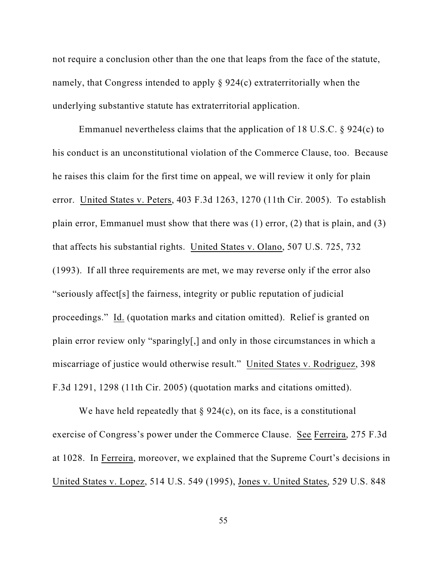not require a conclusion other than the one that leaps from the face of the statute, namely, that Congress intended to apply § 924(c) extraterritorially when the underlying substantive statute has extraterritorial application.

Emmanuel nevertheless claims that the application of 18 U.S.C. § 924(c) to his conduct is an unconstitutional violation of the Commerce Clause, too. Because he raises this claim for the first time on appeal, we will review it only for plain error. United States v. Peters, 403 F.3d 1263, 1270 (11th Cir. 2005). To establish plain error, Emmanuel must show that there was (1) error, (2) that is plain, and (3) that affects his substantial rights. United States v. Olano, 507 U.S. 725, 732 (1993). If all three requirements are met, we may reverse only if the error also "seriously affect[s] the fairness, integrity or public reputation of judicial proceedings." Id. (quotation marks and citation omitted). Relief is granted on plain error review only "sparingly[,] and only in those circumstances in which a miscarriage of justice would otherwise result." United States v. Rodriguez, 398 F.3d 1291, 1298 (11th Cir. 2005) (quotation marks and citations omitted).

We have held repeatedly that  $\S 924(c)$ , on its face, is a constitutional exercise of Congress's power under the Commerce Clause. See Ferreira, 275 F.3d at 1028. In Ferreira, moreover, we explained that the Supreme Court's decisions in United States v. Lopez, 514 U.S. 549 (1995), Jones v. United States, 529 U.S. 848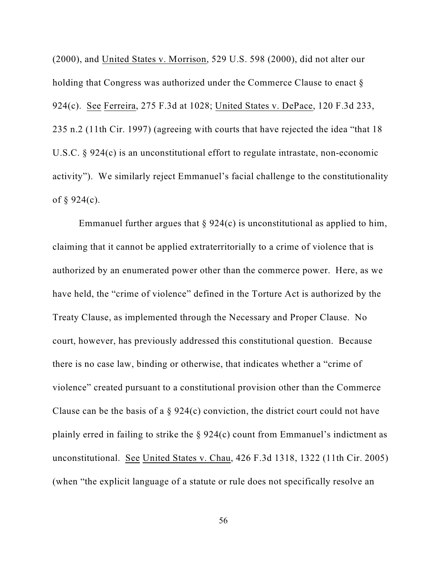(2000), and United States v. Morrison, 529 U.S. 598 (2000), did not alter our holding that Congress was authorized under the Commerce Clause to enact § 924(c). See Ferreira, 275 F.3d at 1028; United States v. DePace, 120 F.3d 233, 235 n.2 (11th Cir. 1997) (agreeing with courts that have rejected the idea "that 18 U.S.C. § 924(c) is an unconstitutional effort to regulate intrastate, non-economic activity"). We similarly reject Emmanuel's facial challenge to the constitutionality of  $\S 924(c)$ .

Emmanuel further argues that  $\S 924(c)$  is unconstitutional as applied to him, claiming that it cannot be applied extraterritorially to a crime of violence that is authorized by an enumerated power other than the commerce power. Here, as we have held, the "crime of violence" defined in the Torture Act is authorized by the Treaty Clause, as implemented through the Necessary and Proper Clause. No court, however, has previously addressed this constitutional question. Because there is no case law, binding or otherwise, that indicates whether a "crime of violence" created pursuant to a constitutional provision other than the Commerce Clause can be the basis of a  $\S 924(c)$  conviction, the district court could not have plainly erred in failing to strike the § 924(c) count from Emmanuel's indictment as unconstitutional. See United States v. Chau, 426 F.3d 1318, 1322 (11th Cir. 2005) (when "the explicit language of a statute or rule does not specifically resolve an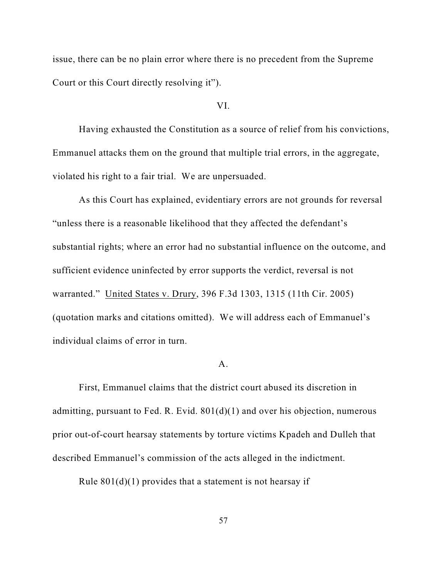issue, there can be no plain error where there is no precedent from the Supreme Court or this Court directly resolving it").

#### VI.

Having exhausted the Constitution as a source of relief from his convictions, Emmanuel attacks them on the ground that multiple trial errors, in the aggregate, violated his right to a fair trial. We are unpersuaded.

As this Court has explained, evidentiary errors are not grounds for reversal "unless there is a reasonable likelihood that they affected the defendant's substantial rights; where an error had no substantial influence on the outcome, and sufficient evidence uninfected by error supports the verdict, reversal is not warranted." United States v. Drury, 396 F.3d 1303, 1315 (11th Cir. 2005) (quotation marks and citations omitted). We will address each of Emmanuel's individual claims of error in turn.

### $A<sub>1</sub>$

First, Emmanuel claims that the district court abused its discretion in admitting, pursuant to Fed. R. Evid. 801(d)(1) and over his objection, numerous prior out-of-court hearsay statements by torture victims Kpadeh and Dulleh that described Emmanuel's commission of the acts alleged in the indictment.

Rule  $801(d)(1)$  provides that a statement is not hearsay if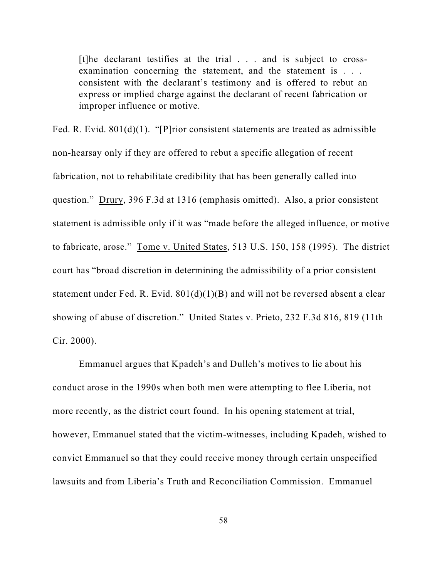[t]he declarant testifies at the trial . . . and is subject to crossexamination concerning the statement, and the statement is . . . consistent with the declarant's testimony and is offered to rebut an express or implied charge against the declarant of recent fabrication or improper influence or motive.

Fed. R. Evid. 801(d)(1). "[P]rior consistent statements are treated as admissible non-hearsay only if they are offered to rebut a specific allegation of recent fabrication, not to rehabilitate credibility that has been generally called into question." Drury, 396 F.3d at 1316 (emphasis omitted). Also, a prior consistent statement is admissible only if it was "made before the alleged influence, or motive to fabricate, arose." Tome v. United States, 513 U.S. 150, 158 (1995). The district court has "broad discretion in determining the admissibility of a prior consistent statement under Fed. R. Evid.  $801(d)(1)(B)$  and will not be reversed absent a clear showing of abuse of discretion." United States v. Prieto, 232 F.3d 816, 819 (11th Cir. 2000).

Emmanuel argues that Kpadeh's and Dulleh's motives to lie about his conduct arose in the 1990s when both men were attempting to flee Liberia, not more recently, as the district court found. In his opening statement at trial, however, Emmanuel stated that the victim-witnesses, including Kpadeh, wished to convict Emmanuel so that they could receive money through certain unspecified lawsuits and from Liberia's Truth and Reconciliation Commission. Emmanuel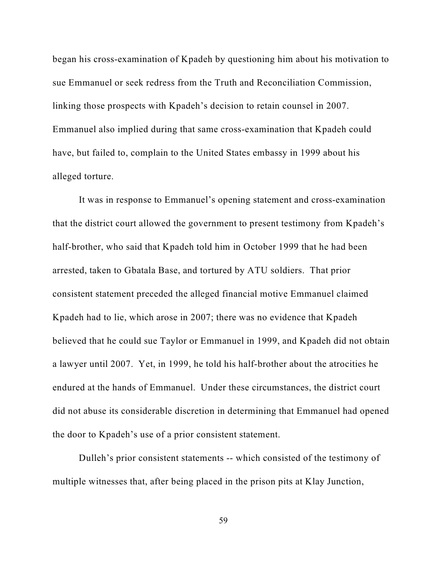began his cross-examination of Kpadeh by questioning him about his motivation to sue Emmanuel or seek redress from the Truth and Reconciliation Commission, linking those prospects with Kpadeh's decision to retain counsel in 2007. Emmanuel also implied during that same cross-examination that Kpadeh could have, but failed to, complain to the United States embassy in 1999 about his alleged torture.

It was in response to Emmanuel's opening statement and cross-examination that the district court allowed the government to present testimony from Kpadeh's half-brother, who said that Kpadeh told him in October 1999 that he had been arrested, taken to Gbatala Base, and tortured by ATU soldiers. That prior consistent statement preceded the alleged financial motive Emmanuel claimed Kpadeh had to lie, which arose in 2007; there was no evidence that Kpadeh believed that he could sue Taylor or Emmanuel in 1999, and Kpadeh did not obtain a lawyer until 2007. Yet, in 1999, he told his half-brother about the atrocities he endured at the hands of Emmanuel. Under these circumstances, the district court did not abuse its considerable discretion in determining that Emmanuel had opened the door to Kpadeh's use of a prior consistent statement.

Dulleh's prior consistent statements -- which consisted of the testimony of multiple witnesses that, after being placed in the prison pits at Klay Junction,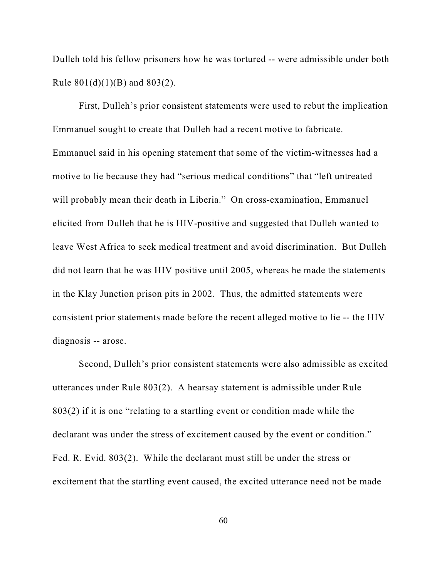Dulleh told his fellow prisoners how he was tortured -- were admissible under both Rule 801(d)(1)(B) and 803(2).

First, Dulleh's prior consistent statements were used to rebut the implication Emmanuel sought to create that Dulleh had a recent motive to fabricate. Emmanuel said in his opening statement that some of the victim-witnesses had a motive to lie because they had "serious medical conditions" that "left untreated will probably mean their death in Liberia." On cross-examination, Emmanuel elicited from Dulleh that he is HIV-positive and suggested that Dulleh wanted to leave West Africa to seek medical treatment and avoid discrimination. But Dulleh did not learn that he was HIV positive until 2005, whereas he made the statements in the Klay Junction prison pits in 2002. Thus, the admitted statements were consistent prior statements made before the recent alleged motive to lie -- the HIV diagnosis -- arose.

Second, Dulleh's prior consistent statements were also admissible as excited utterances under Rule 803(2). A hearsay statement is admissible under Rule 803(2) if it is one "relating to a startling event or condition made while the declarant was under the stress of excitement caused by the event or condition." Fed. R. Evid. 803(2). While the declarant must still be under the stress or excitement that the startling event caused, the excited utterance need not be made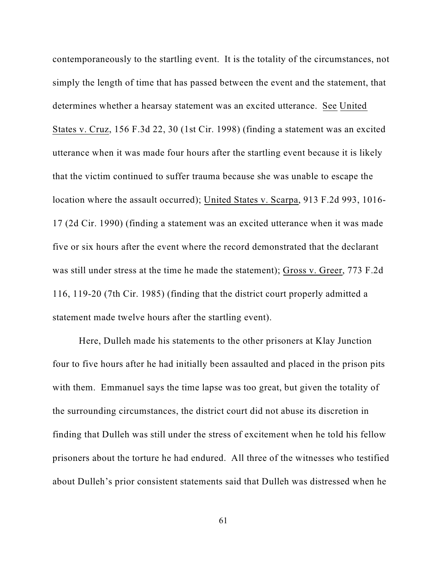contemporaneously to the startling event. It is the totality of the circumstances, not simply the length of time that has passed between the event and the statement, that determines whether a hearsay statement was an excited utterance. See United States v. Cruz, 156 F.3d 22, 30 (1st Cir. 1998) (finding a statement was an excited utterance when it was made four hours after the startling event because it is likely that the victim continued to suffer trauma because she was unable to escape the location where the assault occurred); United States v. Scarpa, 913 F.2d 993, 1016- 17 (2d Cir. 1990) (finding a statement was an excited utterance when it was made five or six hours after the event where the record demonstrated that the declarant was still under stress at the time he made the statement); Gross v. Greer, 773 F.2d 116, 119-20 (7th Cir. 1985) (finding that the district court properly admitted a statement made twelve hours after the startling event).

Here, Dulleh made his statements to the other prisoners at Klay Junction four to five hours after he had initially been assaulted and placed in the prison pits with them. Emmanuel says the time lapse was too great, but given the totality of the surrounding circumstances, the district court did not abuse its discretion in finding that Dulleh was still under the stress of excitement when he told his fellow prisoners about the torture he had endured. All three of the witnesses who testified about Dulleh's prior consistent statements said that Dulleh was distressed when he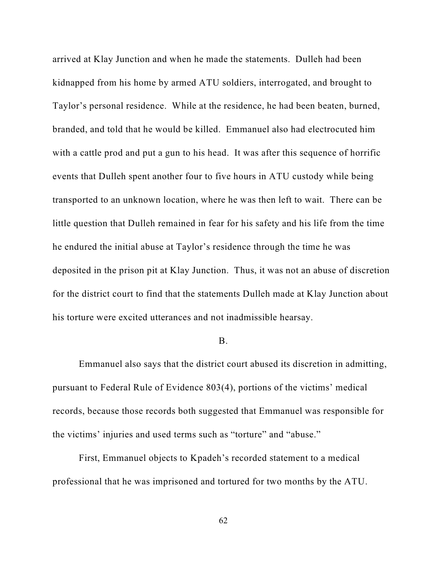arrived at Klay Junction and when he made the statements. Dulleh had been kidnapped from his home by armed ATU soldiers, interrogated, and brought to Taylor's personal residence. While at the residence, he had been beaten, burned, branded, and told that he would be killed. Emmanuel also had electrocuted him with a cattle prod and put a gun to his head. It was after this sequence of horrific events that Dulleh spent another four to five hours in ATU custody while being transported to an unknown location, where he was then left to wait. There can be little question that Dulleh remained in fear for his safety and his life from the time he endured the initial abuse at Taylor's residence through the time he was deposited in the prison pit at Klay Junction. Thus, it was not an abuse of discretion for the district court to find that the statements Dulleh made at Klay Junction about his torture were excited utterances and not inadmissible hearsay.

#### B.

Emmanuel also says that the district court abused its discretion in admitting, pursuant to Federal Rule of Evidence 803(4), portions of the victims' medical records, because those records both suggested that Emmanuel was responsible for the victims' injuries and used terms such as "torture" and "abuse."

First, Emmanuel objects to Kpadeh's recorded statement to a medical professional that he was imprisoned and tortured for two months by the ATU.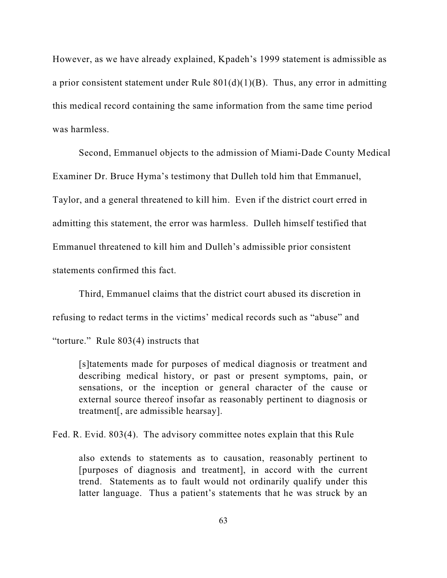However, as we have already explained, Kpadeh's 1999 statement is admissible as a prior consistent statement under Rule  $801(d)(1)(B)$ . Thus, any error in admitting this medical record containing the same information from the same time period was harmless.

Second, Emmanuel objects to the admission of Miami-Dade County Medical Examiner Dr. Bruce Hyma's testimony that Dulleh told him that Emmanuel, Taylor, and a general threatened to kill him. Even if the district court erred in admitting this statement, the error was harmless. Dulleh himself testified that Emmanuel threatened to kill him and Dulleh's admissible prior consistent statements confirmed this fact.

Third, Emmanuel claims that the district court abused its discretion in refusing to redact terms in the victims' medical records such as "abuse" and "torture." Rule 803(4) instructs that

[s]tatements made for purposes of medical diagnosis or treatment and describing medical history, or past or present symptoms, pain, or sensations, or the inception or general character of the cause or external source thereof insofar as reasonably pertinent to diagnosis or treatment[, are admissible hearsay].

Fed. R. Evid. 803(4). The advisory committee notes explain that this Rule

also extends to statements as to causation, reasonably pertinent to [purposes of diagnosis and treatment], in accord with the current trend. Statements as to fault would not ordinarily qualify under this latter language. Thus a patient's statements that he was struck by an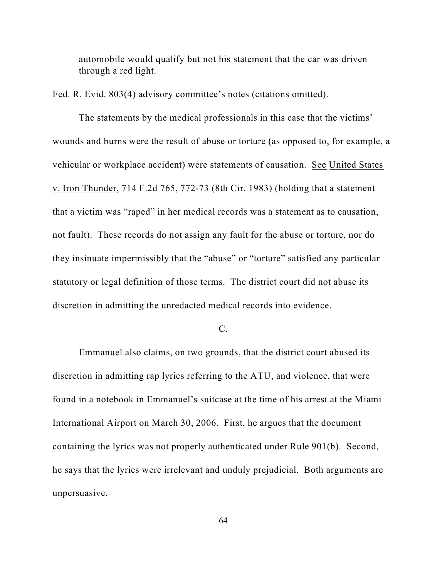automobile would qualify but not his statement that the car was driven through a red light.

Fed. R. Evid. 803(4) advisory committee's notes (citations omitted).

The statements by the medical professionals in this case that the victims' wounds and burns were the result of abuse or torture (as opposed to, for example, a vehicular or workplace accident) were statements of causation. See United States v. Iron Thunder, 714 F.2d 765, 772-73 (8th Cir. 1983) (holding that a statement that a victim was "raped" in her medical records was a statement as to causation, not fault). These records do not assign any fault for the abuse or torture, nor do they insinuate impermissibly that the "abuse" or "torture" satisfied any particular statutory or legal definition of those terms. The district court did not abuse its discretion in admitting the unredacted medical records into evidence.

## C.

Emmanuel also claims, on two grounds, that the district court abused its discretion in admitting rap lyrics referring to the ATU, and violence, that were found in a notebook in Emmanuel's suitcase at the time of his arrest at the Miami International Airport on March 30, 2006. First, he argues that the document containing the lyrics was not properly authenticated under Rule 901(b). Second, he says that the lyrics were irrelevant and unduly prejudicial. Both arguments are unpersuasive.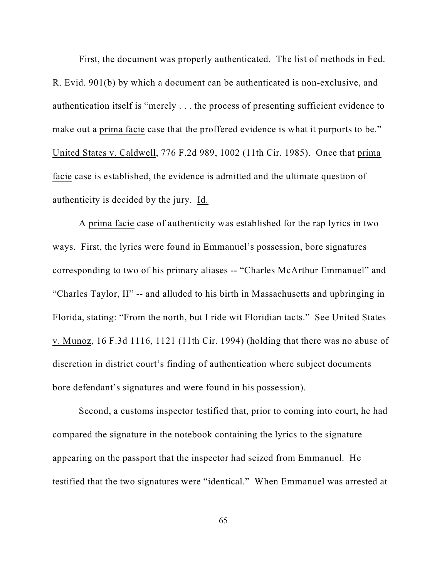First, the document was properly authenticated. The list of methods in Fed. R. Evid. 901(b) by which a document can be authenticated is non-exclusive, and authentication itself is "merely . . . the process of presenting sufficient evidence to make out a prima facie case that the proffered evidence is what it purports to be." United States v. Caldwell, 776 F.2d 989, 1002 (11th Cir. 1985). Once that prima facie case is established, the evidence is admitted and the ultimate question of authenticity is decided by the jury. Id.

A prima facie case of authenticity was established for the rap lyrics in two ways. First, the lyrics were found in Emmanuel's possession, bore signatures corresponding to two of his primary aliases -- "Charles McArthur Emmanuel" and "Charles Taylor, II" -- and alluded to his birth in Massachusetts and upbringing in Florida, stating: "From the north, but I ride wit Floridian tacts." See United States v. Munoz, 16 F.3d 1116, 1121 (11th Cir. 1994) (holding that there was no abuse of discretion in district court's finding of authentication where subject documents bore defendant's signatures and were found in his possession).

Second, a customs inspector testified that, prior to coming into court, he had compared the signature in the notebook containing the lyrics to the signature appearing on the passport that the inspector had seized from Emmanuel. He testified that the two signatures were "identical." When Emmanuel was arrested at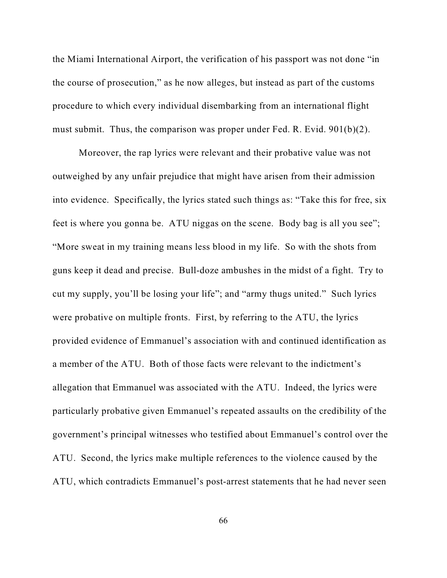the Miami International Airport, the verification of his passport was not done "in the course of prosecution," as he now alleges, but instead as part of the customs procedure to which every individual disembarking from an international flight must submit. Thus, the comparison was proper under Fed. R. Evid. 901(b)(2).

Moreover, the rap lyrics were relevant and their probative value was not outweighed by any unfair prejudice that might have arisen from their admission into evidence. Specifically, the lyrics stated such things as: "Take this for free, six feet is where you gonna be. ATU niggas on the scene. Body bag is all you see"; "More sweat in my training means less blood in my life. So with the shots from guns keep it dead and precise. Bull-doze ambushes in the midst of a fight. Try to cut my supply, you'll be losing your life"; and "army thugs united." Such lyrics were probative on multiple fronts. First, by referring to the ATU, the lyrics provided evidence of Emmanuel's association with and continued identification as a member of the ATU. Both of those facts were relevant to the indictment's allegation that Emmanuel was associated with the ATU. Indeed, the lyrics were particularly probative given Emmanuel's repeated assaults on the credibility of the government's principal witnesses who testified about Emmanuel's control over the ATU. Second, the lyrics make multiple references to the violence caused by the ATU, which contradicts Emmanuel's post-arrest statements that he had never seen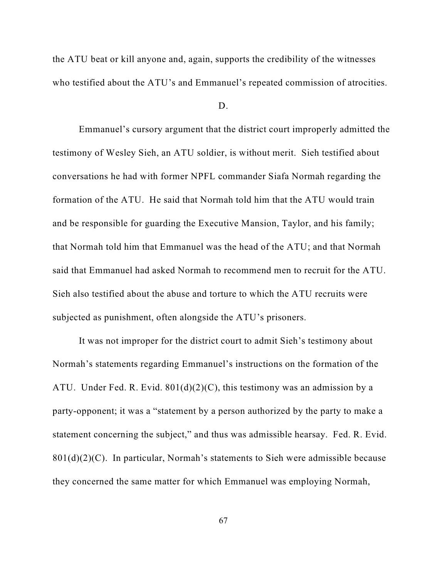the ATU beat or kill anyone and, again, supports the credibility of the witnesses who testified about the ATU's and Emmanuel's repeated commission of atrocities.

D.

Emmanuel's cursory argument that the district court improperly admitted the testimony of Wesley Sieh, an ATU soldier, is without merit. Sieh testified about conversations he had with former NPFL commander Siafa Normah regarding the formation of the ATU. He said that Normah told him that the ATU would train and be responsible for guarding the Executive Mansion, Taylor, and his family; that Normah told him that Emmanuel was the head of the ATU; and that Normah said that Emmanuel had asked Normah to recommend men to recruit for the ATU. Sieh also testified about the abuse and torture to which the ATU recruits were subjected as punishment, often alongside the ATU's prisoners.

It was not improper for the district court to admit Sieh's testimony about Normah's statements regarding Emmanuel's instructions on the formation of the ATU. Under Fed. R. Evid.  $801(d)(2)(C)$ , this testimony was an admission by a party-opponent; it was a "statement by a person authorized by the party to make a statement concerning the subject," and thus was admissible hearsay. Fed. R. Evid. 801(d)(2)(C). In particular, Normah's statements to Sieh were admissible because they concerned the same matter for which Emmanuel was employing Normah,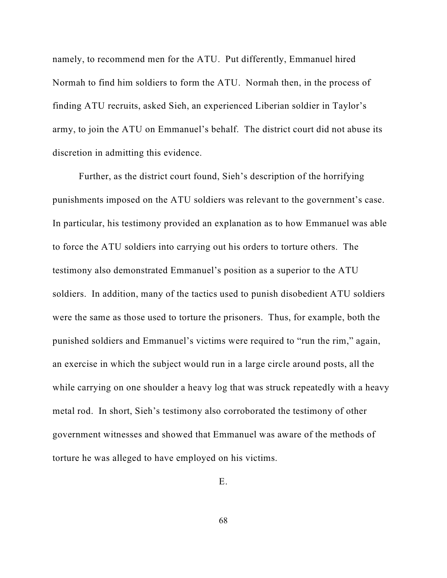namely, to recommend men for the ATU. Put differently, Emmanuel hired Normah to find him soldiers to form the ATU. Normah then, in the process of finding ATU recruits, asked Sieh, an experienced Liberian soldier in Taylor's army, to join the ATU on Emmanuel's behalf. The district court did not abuse its discretion in admitting this evidence.

Further, as the district court found, Sieh's description of the horrifying punishments imposed on the ATU soldiers was relevant to the government's case. In particular, his testimony provided an explanation as to how Emmanuel was able to force the ATU soldiers into carrying out his orders to torture others. The testimony also demonstrated Emmanuel's position as a superior to the ATU soldiers. In addition, many of the tactics used to punish disobedient ATU soldiers were the same as those used to torture the prisoners. Thus, for example, both the punished soldiers and Emmanuel's victims were required to "run the rim," again, an exercise in which the subject would run in a large circle around posts, all the while carrying on one shoulder a heavy log that was struck repeatedly with a heavy metal rod. In short, Sieh's testimony also corroborated the testimony of other government witnesses and showed that Emmanuel was aware of the methods of torture he was alleged to have employed on his victims.

E.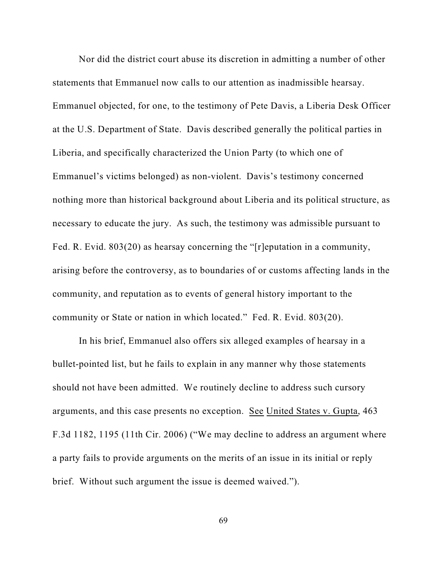Nor did the district court abuse its discretion in admitting a number of other statements that Emmanuel now calls to our attention as inadmissible hearsay. Emmanuel objected, for one, to the testimony of Pete Davis, a Liberia Desk Officer at the U.S. Department of State. Davis described generally the political parties in Liberia, and specifically characterized the Union Party (to which one of Emmanuel's victims belonged) as non-violent. Davis's testimony concerned nothing more than historical background about Liberia and its political structure, as necessary to educate the jury. As such, the testimony was admissible pursuant to Fed. R. Evid. 803(20) as hearsay concerning the "[r]eputation in a community, arising before the controversy, as to boundaries of or customs affecting lands in the community, and reputation as to events of general history important to the community or State or nation in which located." Fed. R. Evid. 803(20).

In his brief, Emmanuel also offers six alleged examples of hearsay in a bullet-pointed list, but he fails to explain in any manner why those statements should not have been admitted. We routinely decline to address such cursory arguments, and this case presents no exception. See United States v. Gupta, 463 F.3d 1182, 1195 (11th Cir. 2006) ("We may decline to address an argument where a party fails to provide arguments on the merits of an issue in its initial or reply brief. Without such argument the issue is deemed waived.").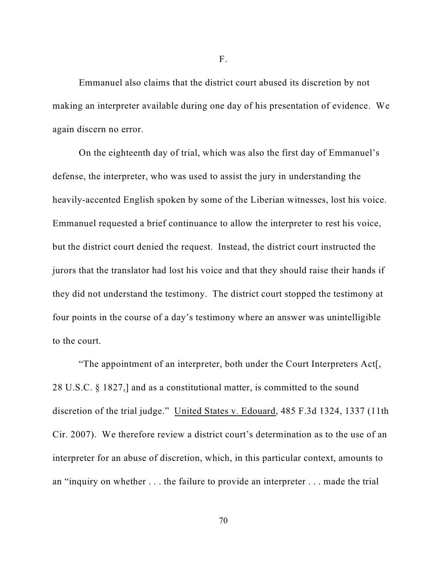Emmanuel also claims that the district court abused its discretion by not making an interpreter available during one day of his presentation of evidence. We again discern no error.

On the eighteenth day of trial, which was also the first day of Emmanuel's defense, the interpreter, who was used to assist the jury in understanding the heavily-accented English spoken by some of the Liberian witnesses, lost his voice. Emmanuel requested a brief continuance to allow the interpreter to rest his voice, but the district court denied the request. Instead, the district court instructed the jurors that the translator had lost his voice and that they should raise their hands if they did not understand the testimony. The district court stopped the testimony at four points in the course of a day's testimony where an answer was unintelligible to the court.

"The appointment of an interpreter, both under the Court Interpreters Act[, 28 U.S.C. § 1827,] and as a constitutional matter, is committed to the sound discretion of the trial judge." United States v. Edouard, 485 F.3d 1324, 1337 (11th Cir. 2007). We therefore review a district court's determination as to the use of an interpreter for an abuse of discretion, which, in this particular context, amounts to an "inquiry on whether . . . the failure to provide an interpreter . . . made the trial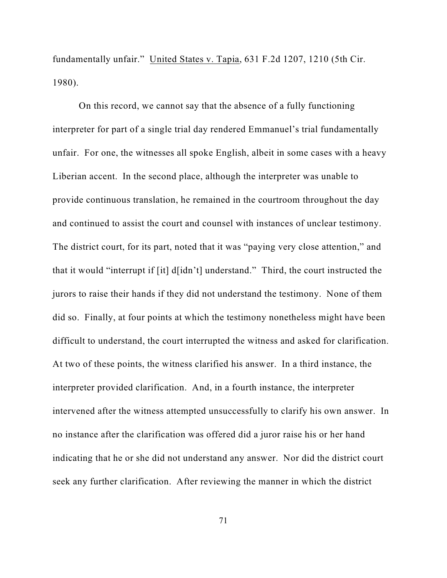fundamentally unfair." United States v. Tapia, 631 F.2d 1207, 1210 (5th Cir. 1980).

On this record, we cannot say that the absence of a fully functioning interpreter for part of a single trial day rendered Emmanuel's trial fundamentally unfair. For one, the witnesses all spoke English, albeit in some cases with a heavy Liberian accent. In the second place, although the interpreter was unable to provide continuous translation, he remained in the courtroom throughout the day and continued to assist the court and counsel with instances of unclear testimony. The district court, for its part, noted that it was "paying very close attention," and that it would "interrupt if [it] d[idn't] understand." Third, the court instructed the jurors to raise their hands if they did not understand the testimony. None of them did so. Finally, at four points at which the testimony nonetheless might have been difficult to understand, the court interrupted the witness and asked for clarification. At two of these points, the witness clarified his answer. In a third instance, the interpreter provided clarification. And, in a fourth instance, the interpreter intervened after the witness attempted unsuccessfully to clarify his own answer. In no instance after the clarification was offered did a juror raise his or her hand indicating that he or she did not understand any answer. Nor did the district court seek any further clarification. After reviewing the manner in which the district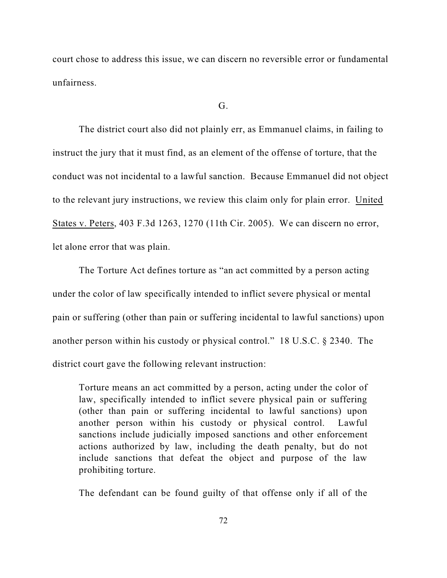court chose to address this issue, we can discern no reversible error or fundamental unfairness.

# G.

The district court also did not plainly err, as Emmanuel claims, in failing to instruct the jury that it must find, as an element of the offense of torture, that the conduct was not incidental to a lawful sanction. Because Emmanuel did not object to the relevant jury instructions, we review this claim only for plain error. United States v. Peters, 403 F.3d 1263, 1270 (11th Cir. 2005). We can discern no error, let alone error that was plain.

The Torture Act defines torture as "an act committed by a person acting under the color of law specifically intended to inflict severe physical or mental pain or suffering (other than pain or suffering incidental to lawful sanctions) upon another person within his custody or physical control." 18 U.S.C. § 2340. The district court gave the following relevant instruction:

Torture means an act committed by a person, acting under the color of law, specifically intended to inflict severe physical pain or suffering (other than pain or suffering incidental to lawful sanctions) upon another person within his custody or physical control. Lawful sanctions include judicially imposed sanctions and other enforcement actions authorized by law, including the death penalty, but do not include sanctions that defeat the object and purpose of the law prohibiting torture.

The defendant can be found guilty of that offense only if all of the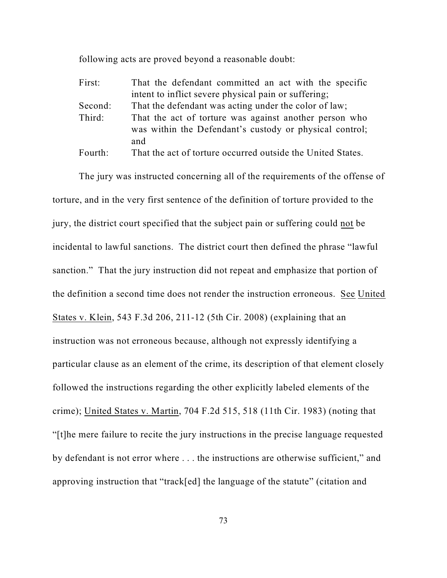following acts are proved beyond a reasonable doubt:

| First:  | That the defendant committed an act with the specific                                                             |
|---------|-------------------------------------------------------------------------------------------------------------------|
|         | intent to inflict severe physical pain or suffering;                                                              |
| Second: | That the defendant was acting under the color of law;                                                             |
| Third:  | That the act of torture was against another person who<br>was within the Defendant's custody or physical control; |
|         | and                                                                                                               |
| Fourth: | That the act of torture occurred outside the United States.                                                       |

The jury was instructed concerning all of the requirements of the offense of torture, and in the very first sentence of the definition of torture provided to the jury, the district court specified that the subject pain or suffering could not be incidental to lawful sanctions. The district court then defined the phrase "lawful sanction." That the jury instruction did not repeat and emphasize that portion of the definition a second time does not render the instruction erroneous. See United States v. Klein, 543 F.3d 206, 211-12 (5th Cir. 2008) (explaining that an instruction was not erroneous because, although not expressly identifying a particular clause as an element of the crime, its description of that element closely followed the instructions regarding the other explicitly labeled elements of the crime); United States v. Martin, 704 F.2d 515, 518 (11th Cir. 1983) (noting that "[t]he mere failure to recite the jury instructions in the precise language requested by defendant is not error where . . . the instructions are otherwise sufficient," and approving instruction that "track[ed] the language of the statute" (citation and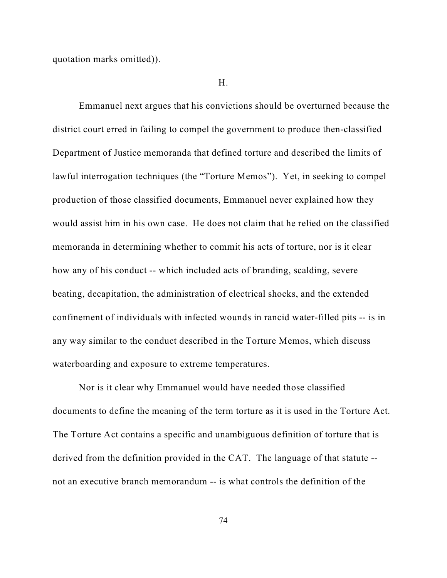quotation marks omitted)).

#### H.

Emmanuel next argues that his convictions should be overturned because the district court erred in failing to compel the government to produce then-classified Department of Justice memoranda that defined torture and described the limits of lawful interrogation techniques (the "Torture Memos"). Yet, in seeking to compel production of those classified documents, Emmanuel never explained how they would assist him in his own case. He does not claim that he relied on the classified memoranda in determining whether to commit his acts of torture, nor is it clear how any of his conduct -- which included acts of branding, scalding, severe beating, decapitation, the administration of electrical shocks, and the extended confinement of individuals with infected wounds in rancid water-filled pits -- is in any way similar to the conduct described in the Torture Memos, which discuss waterboarding and exposure to extreme temperatures.

Nor is it clear why Emmanuel would have needed those classified documents to define the meaning of the term torture as it is used in the Torture Act. The Torture Act contains a specific and unambiguous definition of torture that is derived from the definition provided in the CAT. The language of that statute - not an executive branch memorandum -- is what controls the definition of the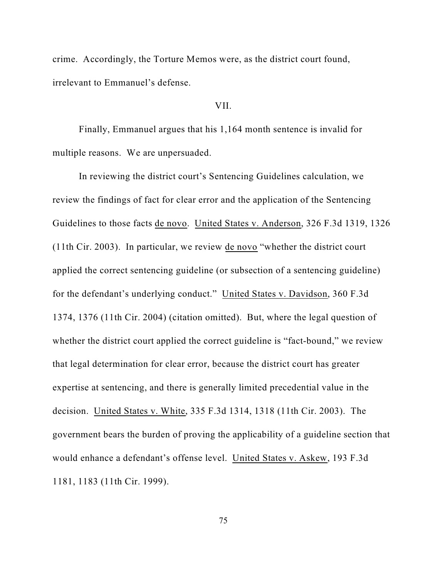crime. Accordingly, the Torture Memos were, as the district court found, irrelevant to Emmanuel's defense.

# VII.

Finally, Emmanuel argues that his 1,164 month sentence is invalid for multiple reasons. We are unpersuaded.

In reviewing the district court's Sentencing Guidelines calculation, we review the findings of fact for clear error and the application of the Sentencing Guidelines to those facts de novo. United States v. Anderson, 326 F.3d 1319, 1326 (11th Cir. 2003). In particular, we review de novo "whether the district court applied the correct sentencing guideline (or subsection of a sentencing guideline) for the defendant's underlying conduct." United States v. Davidson, 360 F.3d 1374, 1376 (11th Cir. 2004) (citation omitted). But, where the legal question of whether the district court applied the correct guideline is "fact-bound," we review that legal determination for clear error, because the district court has greater expertise at sentencing, and there is generally limited precedential value in the decision. United States v. White, 335 F.3d 1314, 1318 (11th Cir. 2003). The government bears the burden of proving the applicability of a guideline section that would enhance a defendant's offense level. United States v. Askew, 193 F.3d 1181, 1183 (11th Cir. 1999).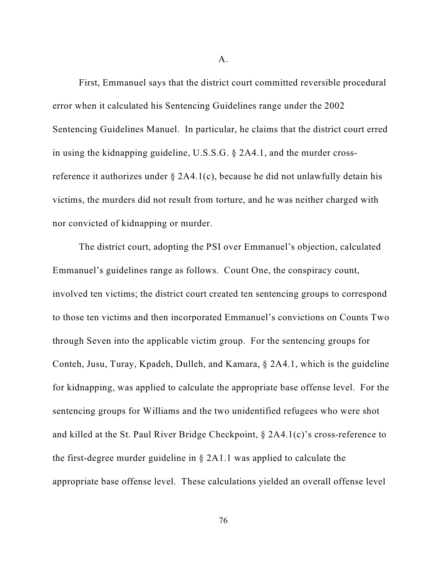A.

First, Emmanuel says that the district court committed reversible procedural error when it calculated his Sentencing Guidelines range under the 2002 Sentencing Guidelines Manuel. In particular, he claims that the district court erred in using the kidnapping guideline, U.S.S.G. § 2A4.1, and the murder crossreference it authorizes under  $\S$  2A4.1(c), because he did not unlawfully detain his victims, the murders did not result from torture, and he was neither charged with nor convicted of kidnapping or murder.

The district court, adopting the PSI over Emmanuel's objection, calculated Emmanuel's guidelines range as follows. Count One, the conspiracy count, involved ten victims; the district court created ten sentencing groups to correspond to those ten victims and then incorporated Emmanuel's convictions on Counts Two through Seven into the applicable victim group. For the sentencing groups for Conteh, Jusu, Turay, Kpadeh, Dulleh, and Kamara, § 2A4.1, which is the guideline for kidnapping, was applied to calculate the appropriate base offense level. For the sentencing groups for Williams and the two unidentified refugees who were shot and killed at the St. Paul River Bridge Checkpoint, § 2A4.1(c)'s cross-reference to the first-degree murder guideline in § 2A1.1 was applied to calculate the appropriate base offense level. These calculations yielded an overall offense level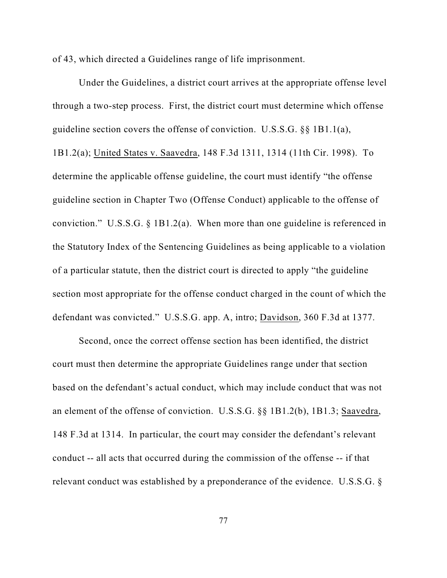of 43, which directed a Guidelines range of life imprisonment.

Under the Guidelines, a district court arrives at the appropriate offense level through a two-step process. First, the district court must determine which offense guideline section covers the offense of conviction. U.S.S.G. §§ 1B1.1(a), 1B1.2(a); United States v. Saavedra, 148 F.3d 1311, 1314 (11th Cir. 1998). To determine the applicable offense guideline, the court must identify "the offense guideline section in Chapter Two (Offense Conduct) applicable to the offense of conviction." U.S.S.G. § 1B1.2(a). When more than one guideline is referenced in the Statutory Index of the Sentencing Guidelines as being applicable to a violation of a particular statute, then the district court is directed to apply "the guideline section most appropriate for the offense conduct charged in the count of which the defendant was convicted." U.S.S.G. app. A, intro; Davidson, 360 F.3d at 1377.

Second, once the correct offense section has been identified, the district court must then determine the appropriate Guidelines range under that section based on the defendant's actual conduct, which may include conduct that was not an element of the offense of conviction. U.S.S.G. §§ 1B1.2(b), 1B1.3; Saavedra, 148 F.3d at 1314. In particular, the court may consider the defendant's relevant conduct -- all acts that occurred during the commission of the offense -- if that relevant conduct was established by a preponderance of the evidence. U.S.S.G. §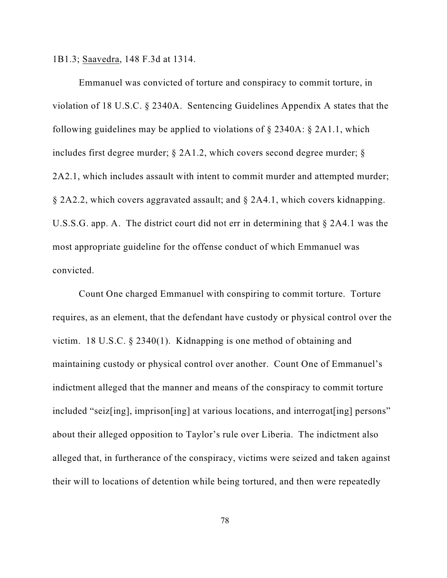1B1.3; Saavedra, 148 F.3d at 1314.

Emmanuel was convicted of torture and conspiracy to commit torture, in violation of 18 U.S.C. § 2340A. Sentencing Guidelines Appendix A states that the following guidelines may be applied to violations of § 2340A: § 2A1.1, which includes first degree murder; § 2A1.2, which covers second degree murder; § 2A2.1, which includes assault with intent to commit murder and attempted murder; § 2A2.2, which covers aggravated assault; and § 2A4.1, which covers kidnapping. U.S.S.G. app. A. The district court did not err in determining that § 2A4.1 was the most appropriate guideline for the offense conduct of which Emmanuel was convicted.

Count One charged Emmanuel with conspiring to commit torture. Torture requires, as an element, that the defendant have custody or physical control over the victim. 18 U.S.C. § 2340(1). Kidnapping is one method of obtaining and maintaining custody or physical control over another. Count One of Emmanuel's indictment alleged that the manner and means of the conspiracy to commit torture included "seiz[ing], imprison[ing] at various locations, and interrogat[ing] persons" about their alleged opposition to Taylor's rule over Liberia. The indictment also alleged that, in furtherance of the conspiracy, victims were seized and taken against their will to locations of detention while being tortured, and then were repeatedly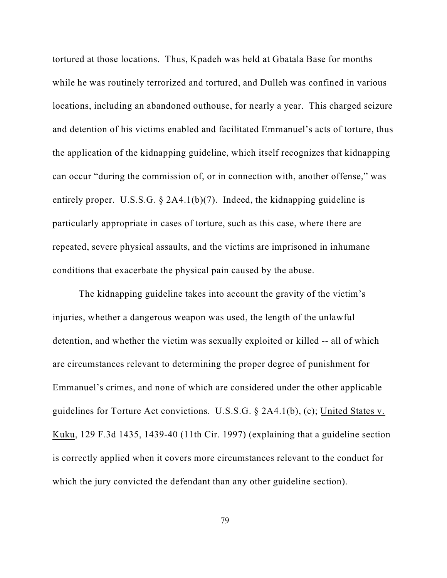tortured at those locations. Thus, Kpadeh was held at Gbatala Base for months while he was routinely terrorized and tortured, and Dulleh was confined in various locations, including an abandoned outhouse, for nearly a year. This charged seizure and detention of his victims enabled and facilitated Emmanuel's acts of torture, thus the application of the kidnapping guideline, which itself recognizes that kidnapping can occur "during the commission of, or in connection with, another offense," was entirely proper. U.S.S.G. § 2A4.1(b)(7). Indeed, the kidnapping guideline is particularly appropriate in cases of torture, such as this case, where there are repeated, severe physical assaults, and the victims are imprisoned in inhumane conditions that exacerbate the physical pain caused by the abuse.

The kidnapping guideline takes into account the gravity of the victim's injuries, whether a dangerous weapon was used, the length of the unlawful detention, and whether the victim was sexually exploited or killed -- all of which are circumstances relevant to determining the proper degree of punishment for Emmanuel's crimes, and none of which are considered under the other applicable guidelines for Torture Act convictions. U.S.S.G. § 2A4.1(b), (c); United States v. Kuku, 129 F.3d 1435, 1439-40 (11th Cir. 1997) (explaining that a guideline section is correctly applied when it covers more circumstances relevant to the conduct for which the jury convicted the defendant than any other guideline section).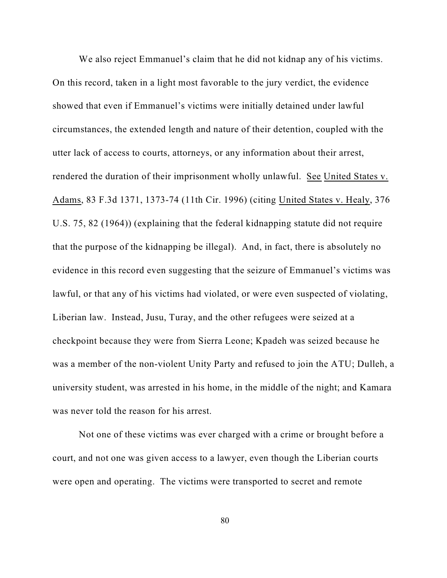We also reject Emmanuel's claim that he did not kidnap any of his victims. On this record, taken in a light most favorable to the jury verdict, the evidence showed that even if Emmanuel's victims were initially detained under lawful circumstances, the extended length and nature of their detention, coupled with the utter lack of access to courts, attorneys, or any information about their arrest, rendered the duration of their imprisonment wholly unlawful. See United States v. Adams, 83 F.3d 1371, 1373-74 (11th Cir. 1996) (citing United States v. Healy, 376 U.S. 75, 82 (1964)) (explaining that the federal kidnapping statute did not require that the purpose of the kidnapping be illegal). And, in fact, there is absolutely no evidence in this record even suggesting that the seizure of Emmanuel's victims was lawful, or that any of his victims had violated, or were even suspected of violating, Liberian law. Instead, Jusu, Turay, and the other refugees were seized at a checkpoint because they were from Sierra Leone; Kpadeh was seized because he was a member of the non-violent Unity Party and refused to join the ATU; Dulleh, a university student, was arrested in his home, in the middle of the night; and Kamara was never told the reason for his arrest.

Not one of these victims was ever charged with a crime or brought before a court, and not one was given access to a lawyer, even though the Liberian courts were open and operating. The victims were transported to secret and remote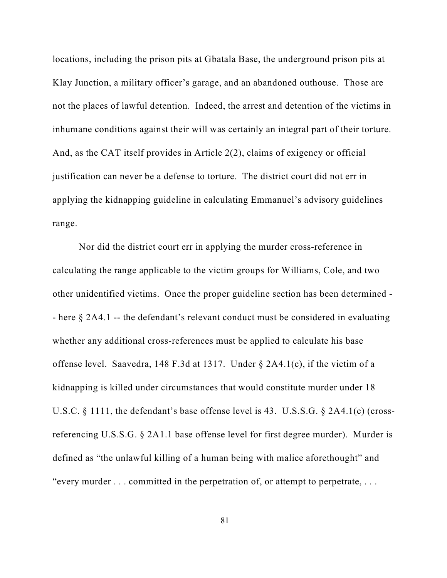locations, including the prison pits at Gbatala Base, the underground prison pits at Klay Junction, a military officer's garage, and an abandoned outhouse. Those are not the places of lawful detention. Indeed, the arrest and detention of the victims in inhumane conditions against their will was certainly an integral part of their torture. And, as the CAT itself provides in Article 2(2), claims of exigency or official justification can never be a defense to torture. The district court did not err in applying the kidnapping guideline in calculating Emmanuel's advisory guidelines range.

Nor did the district court err in applying the murder cross-reference in calculating the range applicable to the victim groups for Williams, Cole, and two other unidentified victims. Once the proper guideline section has been determined - - here § 2A4.1 -- the defendant's relevant conduct must be considered in evaluating whether any additional cross-references must be applied to calculate his base offense level. Saavedra, 148 F.3d at 1317. Under § 2A4.1(c), if the victim of a kidnapping is killed under circumstances that would constitute murder under 18 U.S.C. § 1111, the defendant's base offense level is 43. U.S.S.G. § 2A4.1(c) (crossreferencing U.S.S.G. § 2A1.1 base offense level for first degree murder). Murder is defined as "the unlawful killing of a human being with malice aforethought" and "every murder . . . committed in the perpetration of, or attempt to perpetrate, . . .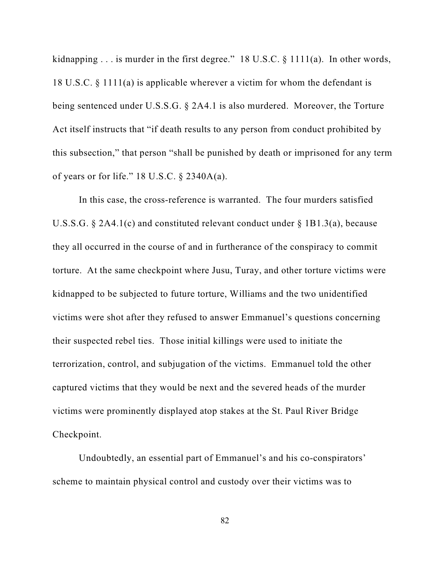kidnapping  $\ldots$  is murder in the first degree." 18 U.S.C. § 1111(a). In other words, 18 U.S.C. § 1111(a) is applicable wherever a victim for whom the defendant is being sentenced under U.S.S.G. § 2A4.1 is also murdered. Moreover, the Torture Act itself instructs that "if death results to any person from conduct prohibited by this subsection," that person "shall be punished by death or imprisoned for any term of years or for life."  $18$  U.S.C.  $\S$  2340A(a).

In this case, the cross-reference is warranted. The four murders satisfied U.S.S.G. § 2A4.1(c) and constituted relevant conduct under § 1B1.3(a), because they all occurred in the course of and in furtherance of the conspiracy to commit torture. At the same checkpoint where Jusu, Turay, and other torture victims were kidnapped to be subjected to future torture, Williams and the two unidentified victims were shot after they refused to answer Emmanuel's questions concerning their suspected rebel ties. Those initial killings were used to initiate the terrorization, control, and subjugation of the victims. Emmanuel told the other captured victims that they would be next and the severed heads of the murder victims were prominently displayed atop stakes at the St. Paul River Bridge Checkpoint.

Undoubtedly, an essential part of Emmanuel's and his co-conspirators' scheme to maintain physical control and custody over their victims was to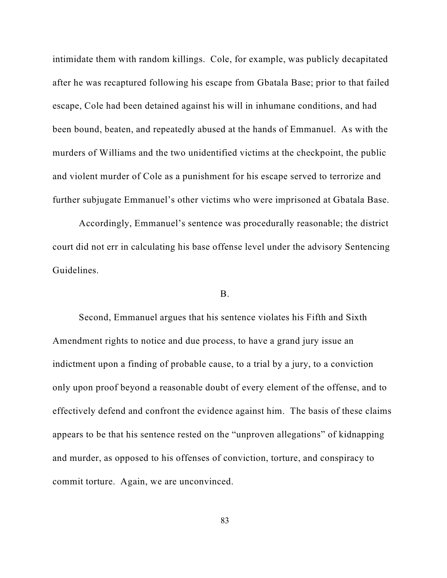intimidate them with random killings. Cole, for example, was publicly decapitated after he was recaptured following his escape from Gbatala Base; prior to that failed escape, Cole had been detained against his will in inhumane conditions, and had been bound, beaten, and repeatedly abused at the hands of Emmanuel. As with the murders of Williams and the two unidentified victims at the checkpoint, the public and violent murder of Cole as a punishment for his escape served to terrorize and further subjugate Emmanuel's other victims who were imprisoned at Gbatala Base.

Accordingly, Emmanuel's sentence was procedurally reasonable; the district court did not err in calculating his base offense level under the advisory Sentencing Guidelines.

## B.

Second, Emmanuel argues that his sentence violates his Fifth and Sixth Amendment rights to notice and due process, to have a grand jury issue an indictment upon a finding of probable cause, to a trial by a jury, to a conviction only upon proof beyond a reasonable doubt of every element of the offense, and to effectively defend and confront the evidence against him. The basis of these claims appears to be that his sentence rested on the "unproven allegations" of kidnapping and murder, as opposed to his offenses of conviction, torture, and conspiracy to commit torture. Again, we are unconvinced.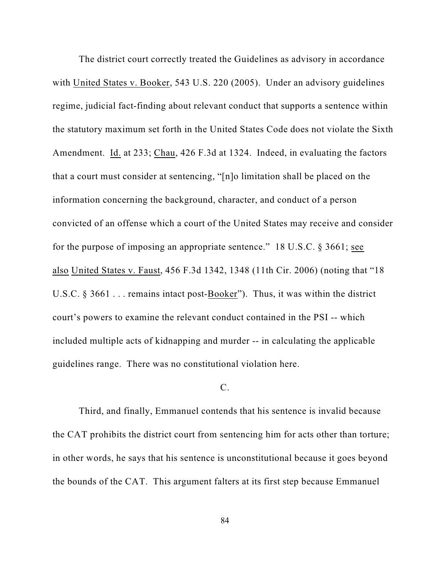The district court correctly treated the Guidelines as advisory in accordance with United States v. Booker, 543 U.S. 220 (2005). Under an advisory guidelines regime, judicial fact-finding about relevant conduct that supports a sentence within the statutory maximum set forth in the United States Code does not violate the Sixth Amendment. Id. at 233; Chau, 426 F.3d at 1324. Indeed, in evaluating the factors that a court must consider at sentencing, "[n]o limitation shall be placed on the information concerning the background, character, and conduct of a person convicted of an offense which a court of the United States may receive and consider for the purpose of imposing an appropriate sentence." 18 U.S.C. § 3661; see also United States v. Faust, 456 F.3d 1342, 1348 (11th Cir. 2006) (noting that "18 U.S.C. § 3661 . . . remains intact post-Booker"). Thus, it was within the district court's powers to examine the relevant conduct contained in the PSI -- which included multiple acts of kidnapping and murder -- in calculating the applicable guidelines range. There was no constitutional violation here.

### C.

Third, and finally, Emmanuel contends that his sentence is invalid because the CAT prohibits the district court from sentencing him for acts other than torture; in other words, he says that his sentence is unconstitutional because it goes beyond the bounds of the CAT. This argument falters at its first step because Emmanuel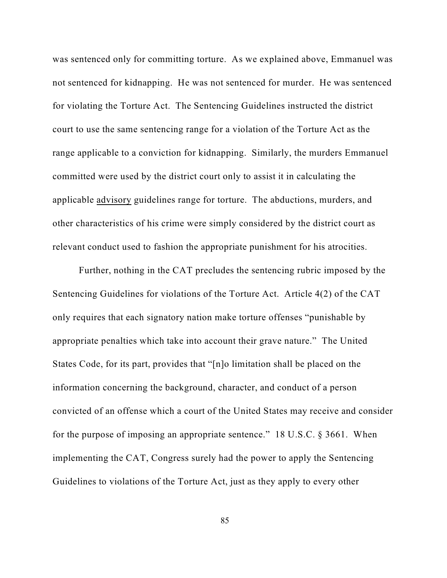was sentenced only for committing torture. As we explained above, Emmanuel was not sentenced for kidnapping. He was not sentenced for murder. He was sentenced for violating the Torture Act. The Sentencing Guidelines instructed the district court to use the same sentencing range for a violation of the Torture Act as the range applicable to a conviction for kidnapping. Similarly, the murders Emmanuel committed were used by the district court only to assist it in calculating the applicable advisory guidelines range for torture. The abductions, murders, and other characteristics of his crime were simply considered by the district court as relevant conduct used to fashion the appropriate punishment for his atrocities.

Further, nothing in the CAT precludes the sentencing rubric imposed by the Sentencing Guidelines for violations of the Torture Act. Article 4(2) of the CAT only requires that each signatory nation make torture offenses "punishable by appropriate penalties which take into account their grave nature." The United States Code, for its part, provides that "[n]o limitation shall be placed on the information concerning the background, character, and conduct of a person convicted of an offense which a court of the United States may receive and consider for the purpose of imposing an appropriate sentence." 18 U.S.C. § 3661. When implementing the CAT, Congress surely had the power to apply the Sentencing Guidelines to violations of the Torture Act, just as they apply to every other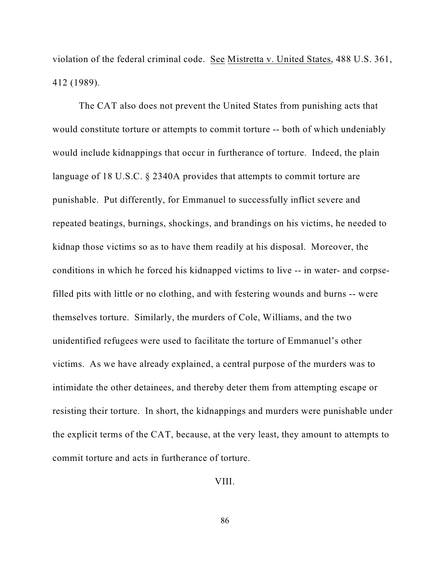violation of the federal criminal code. See Mistretta v. United States, 488 U.S. 361, 412 (1989).

The CAT also does not prevent the United States from punishing acts that would constitute torture or attempts to commit torture -- both of which undeniably would include kidnappings that occur in furtherance of torture. Indeed, the plain language of 18 U.S.C. § 2340A provides that attempts to commit torture are punishable. Put differently, for Emmanuel to successfully inflict severe and repeated beatings, burnings, shockings, and brandings on his victims, he needed to kidnap those victims so as to have them readily at his disposal. Moreover, the conditions in which he forced his kidnapped victims to live -- in water- and corpsefilled pits with little or no clothing, and with festering wounds and burns -- were themselves torture. Similarly, the murders of Cole, Williams, and the two unidentified refugees were used to facilitate the torture of Emmanuel's other victims. As we have already explained, a central purpose of the murders was to intimidate the other detainees, and thereby deter them from attempting escape or resisting their torture. In short, the kidnappings and murders were punishable under the explicit terms of the CAT, because, at the very least, they amount to attempts to commit torture and acts in furtherance of torture.

VIII.